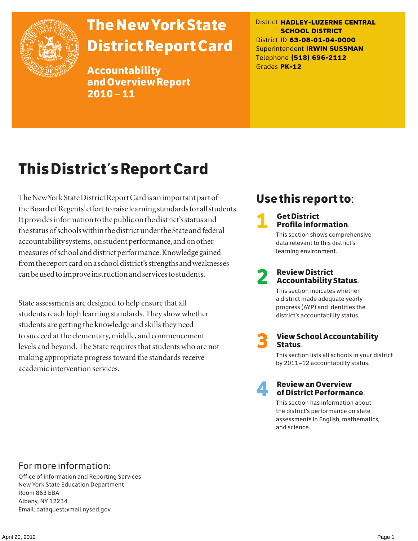

# The New York State District Report Card

Accountability and Overview Report 2010–11

District **HADLEY-LUZERNE CENTRAL SCHOOL DISTRICT** District ID **63-08-01-04-0000** Superintendent **IRWIN SUSSMAN** Telephone **(518) 696-2112** Grades **PK-12**

# This District's Report Card

The New York State District Report Card is an important part of the Board of Regents' effort to raise learning standards for all students. It provides information to the public on the district's status and the status of schools within the district under the State and federal accountability systems, on student performance, and on other measures of school and district performance. Knowledge gained from the report card on a school district's strengths and weaknesses can be used to improve instruction and services to students.

State assessments are designed to help ensure that all students reach high learning standards. They show whether students are getting the knowledge and skills they need to succeed at the elementary, middle, and commencement levels and beyond. The State requires that students who are not making appropriate progress toward the standards receive academic intervention services.

## Use this report to:

**1** Get District<br>Profile information.

This section shows comprehensive data relevant to this district's learning environment.

# 2 Review District Accountability Status.

This section indicates whether a district made adequate yearly progress (AYP) and identifies the district's accountability status.

3 View School Accountability Status.

This section lists all schools in your district by 2011–12 accountability status.



### 4 Review an Overview of District Performance.

This section has information about the district's performance on state assessments in English, mathematics, and science.

### For more information:

Office of Information and Reporting Services New York State Education Department Room 863 EBA Albany, NY 12234 Email: dataquest@mail.nysed.gov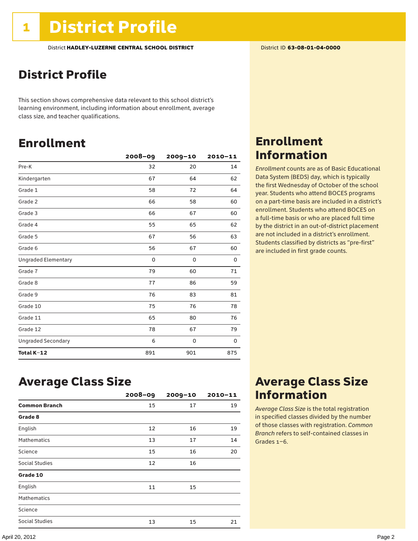## District Profile

This section shows comprehensive data relevant to this school district's learning environment, including information about enrollment, average class size, and teacher qualifications.

## Enrollment

|                            | $2008 - 09$ | $2009 - 10$ | $2010 - 11$ |
|----------------------------|-------------|-------------|-------------|
| Pre-K                      | 32          | 20          | 14          |
| Kindergarten               | 67          | 64          | 62          |
| Grade 1                    | 58          | 72          | 64          |
| Grade 2                    | 66          | 58          | 60          |
| Grade 3                    | 66          | 67          | 60          |
| Grade 4                    | 55          | 65          | 62          |
| Grade 5                    | 67          | 56          | 63          |
| Grade 6                    | 56          | 67          | 60          |
| <b>Ungraded Elementary</b> | 0           | 0           | 0           |
| Grade 7                    | 79          | 60          | 71          |
| Grade 8                    | 77          | 86          | 59          |
| Grade 9                    | 76          | 83          | 81          |
| Grade 10                   | 75          | 76          | 78          |
| Grade 11                   | 65          | 80          | 76          |
| Grade 12                   | 78          | 67          | 79          |
| <b>Ungraded Secondary</b>  | 6           | 0           | 0           |
| Total K-12                 | 891         | 901         | 875         |

## Enrollment Information

*Enrollment* counts are as of Basic Educational Data System (BEDS) day, which is typically the first Wednesday of October of the school year. Students who attend BOCES programs on a part-time basis are included in a district's enrollment. Students who attend BOCES on a full-time basis or who are placed full time by the district in an out-of-district placement are not included in a district's enrollment. Students classified by districts as "pre-first" are included in first grade counts.

### Average Class Size

|                       | $2008 - 09$ | $2009 - 10$ | $2010 - 11$ |
|-----------------------|-------------|-------------|-------------|
| <b>Common Branch</b>  | 15          | 17          | 19          |
| Grade 8               |             |             |             |
| English               | 12          | 16          | 19          |
| <b>Mathematics</b>    | 13          | 17          | 14          |
| Science               | 15          | 16          | 20          |
| Social Studies        | 12          | 16          |             |
| Grade 10              |             |             |             |
| English               | 11          | 15          |             |
| <b>Mathematics</b>    |             |             |             |
| Science               |             |             |             |
| <b>Social Studies</b> | 13          | 15          | 21          |

## Average Class Size Information

*Average Class Size* is the total registration in specified classes divided by the number of those classes with registration. *Common Branch* refers to self-contained classes in Grades 1–6.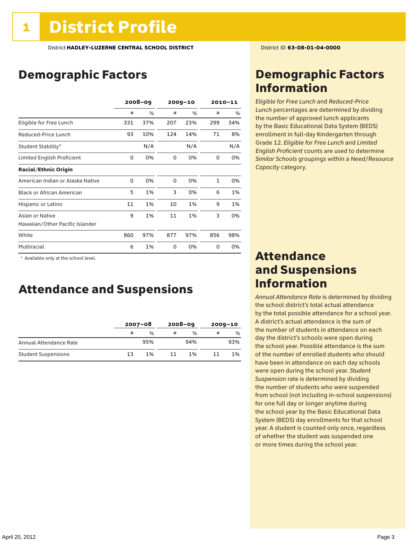## Demographic Factors

|                                  |     | $2008 - 09$ |     | $2009 - 10$ | $2010 - 11$  |     |
|----------------------------------|-----|-------------|-----|-------------|--------------|-----|
|                                  | #   | %           | #   | %           | #            | %   |
| Eligible for Free Lunch          | 331 | 37%         | 207 | 23%         | 299          | 34% |
| Reduced-Price Lunch              | 93  | 10%         | 124 | 14%         | 71           | 8%  |
| Student Stability*               |     | N/A         |     | N/A         |              | N/A |
| Limited English Proficient       | 0   | 0%          | 0   | 0%          | 0            | 0%  |
| <b>Racial/Ethnic Origin</b>      |     |             |     |             |              |     |
| American Indian or Alaska Native | 0   | 0%          | 0   | 0%          | $\mathbf{1}$ | 0%  |
| <b>Black or African American</b> | 5   | 1%          | 3   | 0%          | 6            | 1%  |
| Hispanic or Latino               | 11  | 1%          | 10  | 1%          | 9            | 1%  |
| Asian or Native                  | 9   | 1%          | 11  | 1%          | 3            | 0%  |
| Hawaiian/Other Pacific Islander  |     |             |     |             |              |     |
| White                            | 860 | 97%         | 877 | 97%         | 856          | 98% |
| Multiracial                      | 6   | 1%          | 0   | 0%          | 0            | 0%  |

 \* Available only at the school level.

### Attendance and Suspensions

|                            |    | $2007 - 08$   |    | $2008 - 09$   |   | $2009 - 10$   |  |
|----------------------------|----|---------------|----|---------------|---|---------------|--|
|                            | #  | $\frac{0}{0}$ | #  | $\frac{0}{0}$ | # | $\frac{0}{0}$ |  |
| Annual Attendance Rate     |    | 95%           |    | 94%           |   | 93%           |  |
| <b>Student Suspensions</b> | 13 | 1%            | 11 | 1%            |   | 1%            |  |

## Demographic Factors Information

*Eligible for Free Lunch* and *Reduced*-*Price Lunch* percentages are determined by dividing the number of approved lunch applicants by the Basic Educational Data System (BEDS) enrollment in full-day Kindergarten through Grade 12. *Eligible for Free Lunch* and *Limited English Proficient* counts are used to determine *Similar Schools* groupings within a *Need*/*Resource Capacity* category.

### Attendance and Suspensions Information

*Annual Attendance Rate* is determined by dividing the school district's total actual attendance by the total possible attendance for a school year. A district's actual attendance is the sum of the number of students in attendance on each day the district's schools were open during the school year. Possible attendance is the sum of the number of enrolled students who should have been in attendance on each day schools were open during the school year. *Student Suspension* rate is determined by dividing the number of students who were suspended from school (not including in-school suspensions) for one full day or longer anytime during the school year by the Basic Educational Data System (BEDS) day enrollments for that school year. A student is counted only once, regardless of whether the student was suspended one or more times during the school year.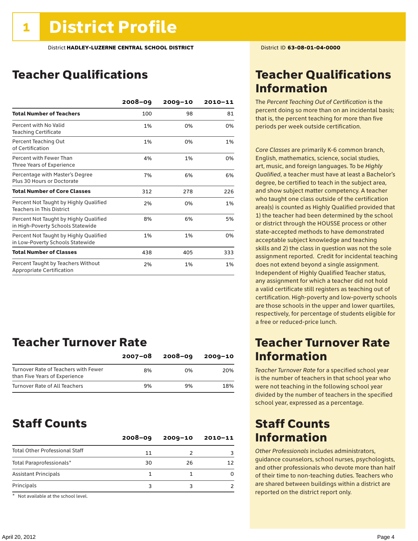## Teacher Qualifications

|                                                                             | $2008 - 09$ | $2009 - 10$ | $2010 - 11$ |
|-----------------------------------------------------------------------------|-------------|-------------|-------------|
| <b>Total Number of Teachers</b>                                             | 100         | 98          | 81          |
| Percent with No Valid<br><b>Teaching Certificate</b>                        | 1%          | 0%          | 0%          |
| Percent Teaching Out<br>of Certification                                    | 1%          | 0%          | 1%          |
| Percent with Fewer Than<br>Three Years of Experience                        | 4%          | 1%          | 0%          |
| Percentage with Master's Degree<br>Plus 30 Hours or Doctorate               | 7%          | 6%          | 6%          |
| <b>Total Number of Core Classes</b>                                         | 312         | 278         | 226         |
| Percent Not Taught by Highly Qualified<br><b>Teachers in This District</b>  | 2%          | 0%          | 1%          |
| Percent Not Taught by Highly Qualified<br>in High-Poverty Schools Statewide | 8%          | 6%          | 5%          |
| Percent Not Taught by Highly Qualified<br>in Low-Poverty Schools Statewide  | 1%          | 1%          | 0%          |
| <b>Total Number of Classes</b>                                              | 438         | 405         | 333         |
| Percent Taught by Teachers Without<br>Appropriate Certification             | 2%          | 1%          | 1%          |

## Teacher Turnover Rate

|                                                                       | $2007 - 08$ | 2008-09 | $2009 - 10$ |
|-----------------------------------------------------------------------|-------------|---------|-------------|
| Turnover Rate of Teachers with Fewer<br>than Five Years of Experience | 8%          | በ%      | 20%         |
| Turnover Rate of All Teachers                                         | 9%          | 9%      | 18%         |

### Staff Counts

|                                       | $2008 - 09$ | $2009 - 10$ | 2010-11 |
|---------------------------------------|-------------|-------------|---------|
| <b>Total Other Professional Staff</b> | 11          |             |         |
| Total Paraprofessionals*              | 30          | 26          |         |
| <b>Assistant Principals</b>           |             |             |         |
| Principals                            |             |             |         |

\* Not available at the school level.

## Teacher Qualifications Information

The *Percent Teaching Out of Certification* is the percent doing so more than on an incidental basis; that is, the percent teaching for more than five periods per week outside certification.

*Core Classes* are primarily K-6 common branch, English, mathematics, science, social studies, art, music, and foreign languages. To be *Highly Qualified*, a teacher must have at least a Bachelor's degree, be certified to teach in the subject area, and show subject matter competency. A teacher who taught one class outside of the certification area(s) is counted as Highly Qualified provided that 1) the teacher had been determined by the school or district through the HOUSSE process or other state-accepted methods to have demonstrated acceptable subject knowledge and teaching skills and 2) the class in question was not the sole assignment reported. Credit for incidental teaching does not extend beyond a single assignment. Independent of Highly Qualified Teacher status, any assignment for which a teacher did not hold a valid certificate still registers as teaching out of certification. High-poverty and low-poverty schools are those schools in the upper and lower quartiles, respectively, for percentage of students eligible for a free or reduced-price lunch.

### Teacher Turnover Rate Information

*Teacher Turnover Rate* for a specified school year is the number of teachers in that school year who were not teaching in the following school year divided by the number of teachers in the specified school year, expressed as a percentage.

## Staff Counts Information

*Other Professionals* includes administrators, guidance counselors, school nurses, psychologists, and other professionals who devote more than half of their time to non-teaching duties. Teachers who are shared between buildings within a district are reported on the district report only.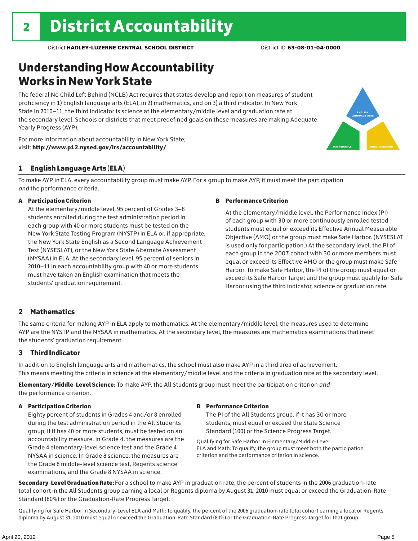## Understanding How Accountability Works in New York State

The federal No Child Left Behind (NCLB) Act requires that states develop and report on measures of student proficiency in 1) English language arts (ELA), in 2) mathematics, and on 3) a third indicator. In New York State in 2010–11, the third indicator is science at the elementary/middle level and graduation rate at the secondary level. Schools or districts that meet predefined goals on these measures are making Adequate Yearly Progress (AYP).





### 1 English Language Arts (ELA)

To make AYP in ELA, every accountability group must make AYP. For a group to make AYP, it must meet the participation *and* the performance criteria.

#### A Participation Criterion

At the elementary/middle level, 95 percent of Grades 3–8 students enrolled during the test administration period in each group with 40 or more students must be tested on the New York State Testing Program (NYSTP) in ELA or, if appropriate, the New York State English as a Second Language Achievement Test (NYSESLAT), or the New York State Alternate Assessment (NYSAA) in ELA. At the secondary level, 95 percent of seniors in 2010–11 in each accountability group with 40 or more students must have taken an English examination that meets the students' graduation requirement.

#### B Performance Criterion

At the elementary/middle level, the Performance Index (PI) of each group with 30 or more continuously enrolled tested students must equal or exceed its Effective Annual Measurable Objective (AMO) or the group must make Safe Harbor. (NYSESLAT is used only for participation.) At the secondary level, the PI of each group in the 2007 cohort with 30 or more members must equal or exceed its Effective AMO or the group must make Safe Harbor. To make Safe Harbor, the PI of the group must equal or exceed its Safe Harbor Target and the group must qualify for Safe Harbor using the third indicator, science or graduation rate.

#### 2 Mathematics

The same criteria for making AYP in ELA apply to mathematics. At the elementary/middle level, the measures used to determine AYP are the NYSTP and the NYSAA in mathematics. At the secondary level, the measures are mathematics examinations that meet the students' graduation requirement.

#### 3 Third Indicator

In addition to English language arts and mathematics, the school must also make AYP in a third area of achievement. This means meeting the criteria in science at the elementary/middle level and the criteria in graduation rate at the secondary level.

Elementary/Middle-Level Science: To make AYP, the All Students group must meet the participation criterion *and* the performance criterion.

#### A Participation Criterion

Eighty percent of students in Grades 4 and/or 8 enrolled during the test administration period in the All Students group, if it has 40 or more students, must be tested on an accountability measure. In Grade 4, the measures are the Grade 4 elementary-level science test and the Grade 4 NYSAA in science. In Grade 8 science, the measures are the Grade 8 middle-level science test, Regents science examinations, and the Grade 8 NYSAA in science.

#### B Performance Criterion

The PI of the All Students group, if it has 30 or more students, must equal or exceed the State Science Standard (100) or the Science Progress Target.

Qualifying for Safe Harbor in Elementary/Middle-Level ELA and Math: To qualify, the group must meet both the participation criterion and the performance criterion in science.

Secondary-Level Graduation Rate: For a school to make AYP in graduation rate, the percent of students in the 2006 graduation-rate total cohort in the All Students group earning a local or Regents diploma by August 31, 2010 must equal or exceed the Graduation-Rate Standard (80%) or the Graduation-Rate Progress Target.

Qualifying for Safe Harbor in Secondary-Level ELA and Math: To qualify, the percent of the 2006 graduation-rate total cohort earning a local or Regents diploma by August 31, 2010 must equal or exceed the Graduation-Rate Standard (80%) or the Graduation-Rate Progress Target for that group.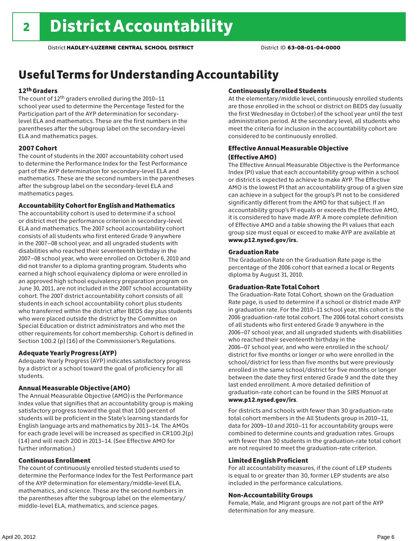## Useful Terms for Understanding Accountability

#### 12th Graders

The count of 12th graders enrolled during the 2010–11 school year used to determine the Percentage Tested for the Participation part of the AYP determination for secondarylevel ELA and mathematics. These are the first numbers in the parentheses after the subgroup label on the secondary-level ELA and mathematics pages.

#### 2007 Cohort

The count of students in the 2007 accountability cohort used to determine the Performance Index for the Test Performance part of the AYP determination for secondary-level ELA and mathematics. These are the second numbers in the parentheses after the subgroup label on the secondary-level ELA and mathematics pages.

#### Accountability Cohort for English and Mathematics

The accountability cohort is used to determine if a school or district met the performance criterion in secondary-level ELA and mathematics. The 2007 school accountability cohort consists of all students who first entered Grade 9 anywhere in the 2007–08 school year, and all ungraded students with disabilities who reached their seventeenth birthday in the 2007–08 school year, who were enrolled on October 6, 2010 and did not transfer to a diploma granting program. Students who earned a high school equivalency diploma or were enrolled in an approved high school equivalency preparation program on June 30, 2011, are not included in the 2007 school accountability cohort. The 2007 district accountability cohort consists of all students in each school accountability cohort plus students who transferred within the district after BEDS day plus students who were placed outside the district by the Committee on Special Education or district administrators and who met the other requirements for cohort membership. Cohort is defined in Section 100.2 (p) (16) of the Commissioner's Regulations.

#### Adequate Yearly Progress (AYP)

Adequate Yearly Progress (AYP) indicates satisfactory progress by a district or a school toward the goal of proficiency for all students.

#### Annual Measurable Objective (AMO)

The Annual Measurable Objective (AMO) is the Performance Index value that signifies that an accountability group is making satisfactory progress toward the goal that 100 percent of students will be proficient in the State's learning standards for English language arts and mathematics by 2013–14. The AMOs for each grade level will be increased as specified in CR100.2(p) (14) and will reach 200 in 2013–14. (See Effective AMO for further information.)

#### Continuous Enrollment

The count of continuously enrolled tested students used to determine the Performance Index for the Test Performance part of the AYP determination for elementary/middle-level ELA, mathematics, and science. These are the second numbers in the parentheses after the subgroup label on the elementary/ middle-level ELA, mathematics, and science pages.

#### Continuously Enrolled Students

At the elementary/middle level, continuously enrolled students are those enrolled in the school or district on BEDS day (usually the first Wednesday in October) of the school year until the test administration period. At the secondary level, all students who meet the criteria for inclusion in the accountability cohort are considered to be continuously enrolled.

#### Effective Annual Measurable Objective (Effective AMO)

The Effective Annual Measurable Objective is the Performance Index (PI) value that each accountability group within a school or district is expected to achieve to make AYP. The Effective AMO is the lowest PI that an accountability group of a given size can achieve in a subject for the group's PI not to be considered significantly different from the AMO for that subject. If an accountability group's PI equals or exceeds the Effective AMO, it is considered to have made AYP. A more complete definition of Effective AMO and a table showing the PI values that each group size must equal or exceed to make AYP are available at www.p12.nysed.gov/irs.

#### Graduation Rate

The Graduation Rate on the Graduation Rate page is the percentage of the 2006 cohort that earned a local or Regents diploma by August 31, 2010.

#### Graduation-Rate Total Cohort

The Graduation-Rate Total Cohort, shown on the Graduation Rate page, is used to determine if a school or district made AYP in graduation rate. For the 2010–11 school year, this cohort is the 2006 graduation-rate total cohort. The 2006 total cohort consists of all students who first entered Grade 9 anywhere in the 2006–07 school year, and all ungraded students with disabilities who reached their seventeenth birthday in the 2006–07 school year, and who were enrolled in the school/ district for five months or longer or who were enrolled in the school/district for less than five months but were previously enrolled in the same school/district for five months or longer between the date they first entered Grade 9 and the date they last ended enrollment. A more detailed definition of graduation-rate cohort can be found in the *SIRS Manual* at www.p12.nysed.gov/irs.

For districts and schools with fewer than 30 graduation-rate total cohort members in the All Students group in 2010–11, data for 2009–10 and 2010–11 for accountability groups were combined to determine counts and graduation rates. Groups with fewer than 30 students in the graduation-rate total cohort are not required to meet the graduation-rate criterion.

#### Limited English Proficient

For all accountability measures, if the count of LEP students is equal to or greater than 30, former LEP students are also included in the performance calculations.

#### Non-Accountability Groups

Female, Male, and Migrant groups are not part of the AYP determination for any measure.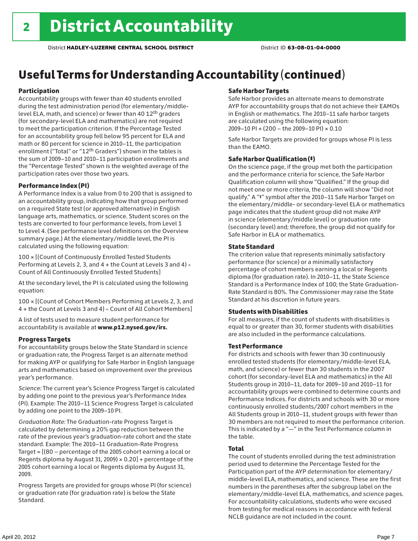## Useful Terms for Understanding Accountability (continued)

#### Participation

Accountability groups with fewer than 40 students enrolled during the test administration period (for elementary/middlelevel ELA, math, and science) or fewer than 40 12th graders (for secondary-level ELA and mathematics) are not required to meet the participation criterion. If the Percentage Tested for an accountability group fell below 95 percent for ELA and math or 80 percent for science in 2010–11, the participation enrollment ("Total" or "12th Graders") shown in the tables is the sum of 2009–10 and 2010–11 participation enrollments and the "Percentage Tested" shown is the weighted average of the participation rates over those two years.

#### Performance Index (PI)

A Performance Index is a value from 0 to 200 that is assigned to an accountability group, indicating how that group performed on a required State test (or approved alternative) in English language arts, mathematics, or science. Student scores on the tests are converted to four performance levels, from Level 1 to Level 4. (See performance level definitions on the Overview summary page.) At the elementary/middle level, the PI is calculated using the following equation:

100 × [(Count of Continuously Enrolled Tested Students Performing at Levels 2, 3, and 4 + the Count at Levels 3 and 4) Count of All Continuously Enrolled Tested Students]

At the secondary level, the PI is calculated using the following equation:

100 × [(Count of Cohort Members Performing at Levels 2, 3, and 4 + the Count at Levels 3 and 4) Count of All Cohort Members]

A list of tests used to measure student performance for accountability is available at www.p12.nysed.gov/irs.

#### Progress Targets

For accountability groups below the State Standard in science or graduation rate, the Progress Target is an alternate method for making AYP or qualifying for Safe Harbor in English language arts and mathematics based on improvement over the previous year's performance.

*Science:* The current year's Science Progress Target is calculated by adding one point to the previous year's Performance Index (PI). Example: The 2010–11 Science Progress Target is calculated by adding one point to the 2009–10 PI.

*Graduation Rate:* The Graduation-rate Progress Target is calculated by determining a 20% gap reduction between the rate of the previous year's graduation-rate cohort and the state standard. Example: The 2010–11 Graduation-Rate Progress Target = [(80 – percentage of the 2005 cohort earning a local or Regents diploma by August 31, 2009)  $\times$  0.20] + percentage of the 2005 cohort earning a local or Regents diploma by August 31, 2009.

Progress Targets are provided for groups whose PI (for science) or graduation rate (for graduation rate) is below the State Standard.

#### Safe Harbor Targets

Safe Harbor provides an alternate means to demonstrate AYP for accountability groups that do not achieve their EAMOs in English or mathematics. The 2010–11 safe harbor targets are calculated using the following equation: 2009–10 PI + (200 – the 2009–10 PI) × 0.10

Safe Harbor Targets are provided for groups whose PI is less than the EAMO.

#### Safe Harbor Qualification (‡)

On the science page, if the group met both the participation and the performance criteria for science, the Safe Harbor Qualification column will show "Qualified." If the group did not meet one or more criteria, the column will show "Did not qualify." A "‡" symbol after the 2010–11 Safe Harbor Target on the elementary/middle- or secondary-level ELA or mathematics page indicates that the student group did not make AYP in science (elementary/middle level) or graduation rate (secondary level) and; therefore, the group did not qualify for Safe Harbor in ELA or mathematics.

#### State Standard

The criterion value that represents minimally satisfactory performance (for science) or a minimally satisfactory percentage of cohort members earning a local or Regents diploma (for graduation rate). In 2010–11, the State Science Standard is a Performance Index of 100; the State Graduation-Rate Standard is 80%. The Commissioner may raise the State Standard at his discretion in future years.

#### Students with Disabilities

For all measures, if the count of students with disabilities is equal to or greater than 30, former students with disabilities are also included in the performance calculations.

#### Test Performance

For districts and schools with fewer than 30 continuously enrolled tested students (for elementary/middle-level ELA, math, and science) or fewer than 30 students in the 2007 cohort (for secondary-level ELA and mathematics) in the All Students group in 2010–11, data for 2009–10 and 2010–11 for accountability groups were combined to determine counts and Performance Indices. For districts and schools with 30 or more continuously enrolled students/2007 cohort members in the All Students group in 2010–11, student groups with fewer than 30 members are not required to meet the performance criterion. This is indicated by a "—" in the Test Performance column in the table.

#### Total

The count of students enrolled during the test administration period used to determine the Percentage Tested for the Participation part of the AYP determination for elementary/ middle-level ELA, mathematics, and science. These are the first numbers in the parentheses after the subgroup label on the elementary/middle-level ELA, mathematics, and science pages. For accountability calculations, students who were excused from testing for medical reasons in accordance with federal NCLB guidance are not included in the count.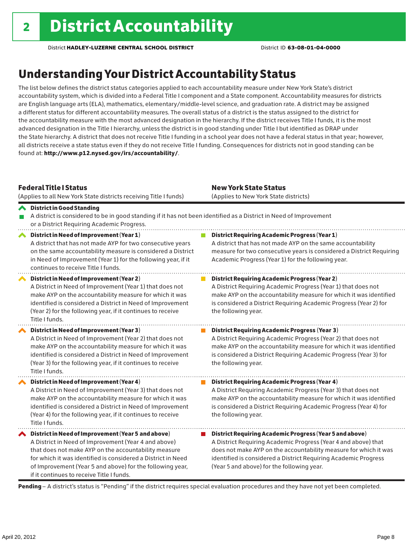## Understanding Your District Accountability Status

The list below defines the district status categories applied to each accountability measure under New York State's district accountability system, which is divided into a Federal Title I component and a State component. Accountability measures for districts are English language arts (ELA), mathematics, elementary/middle-level science, and graduation rate. A district may be assigned a different status for different accountability measures. The overall status of a district is the status assigned to the district for the accountability measure with the most advanced designation in the hierarchy. If the district receives Title I funds, it is the most advanced designation in the Title I hierarchy, unless the district is in good standing under Title I but identified as DRAP under the State hierarchy. A district that does not receive Title I funding in a school year does not have a federal status in that year; however, all districts receive a state status even if they do not receive Title I funding. Consequences for districts not in good standing can be found at: http://www.p12.nysed.gov/irs/accountability/.

| <b>Federal Title   Status</b><br>(Applies to all New York State districts receiving Title I funds)                                                                                                                                                                                                                                             | <b>New York State Status</b><br>(Applies to New York State districts)                                                                                                                                                                                                                                          |
|------------------------------------------------------------------------------------------------------------------------------------------------------------------------------------------------------------------------------------------------------------------------------------------------------------------------------------------------|----------------------------------------------------------------------------------------------------------------------------------------------------------------------------------------------------------------------------------------------------------------------------------------------------------------|
| <b>◆</b> District in Good Standing<br>A district is considered to be in good standing if it has not been identified as a District in Need of Improvement<br>or a District Requiring Academic Progress.                                                                                                                                         |                                                                                                                                                                                                                                                                                                                |
| District in Need of Improvement (Year 1)<br>$\boldsymbol{\mathcal{N}}$<br>A district that has not made AYP for two consecutive years<br>on the same accountability measure is considered a District<br>in Need of Improvement (Year 1) for the following year, if it<br>continues to receive Title I funds.                                    | District Requiring Academic Progress (Year 1)<br>A district that has not made AYP on the same accountability<br>measure for two consecutive years is considered a District Requiring<br>Academic Progress (Year 1) for the following year.                                                                     |
| District in Need of Improvement (Year 2)<br>A District in Need of Improvement (Year 1) that does not<br>make AYP on the accountability measure for which it was<br>identified is considered a District in Need of Improvement<br>(Year 2) for the following year, if it continues to receive<br>Title I funds.                                 | <b>District Requiring Academic Progress (Year 2)</b><br>A District Requiring Academic Progress (Year 1) that does not<br>make AYP on the accountability measure for which it was identified<br>is considered a District Requiring Academic Progress (Year 2) for<br>the following year.                        |
| District in Need of Improvement (Year 3)<br>A District in Need of Improvement (Year 2) that does not<br>make AYP on the accountability measure for which it was<br>identified is considered a District in Need of Improvement<br>(Year 3) for the following year, if it continues to receive<br>Title I funds.                                 | <b>District Requiring Academic Progress (Year 3)</b><br>A District Requiring Academic Progress (Year 2) that does not<br>make AYP on the accountability measure for which it was identified<br>is considered a District Requiring Academic Progress (Year 3) for<br>the following year.                        |
| District in Need of Improvement (Year 4)<br>A District in Need of Improvement (Year 3) that does not<br>make AYP on the accountability measure for which it was<br>identified is considered a District in Need of Improvement<br>(Year 4) for the following year, if it continues to receive<br>Title I funds.                                 | <b>District Requiring Academic Progress (Year 4)</b><br>A District Requiring Academic Progress (Year 3) that does not<br>make AYP on the accountability measure for which it was identified<br>is considered a District Requiring Academic Progress (Year 4) for<br>the following year.                        |
| ◆ District in Need of Improvement (Year 5 and above)<br>A District in Need of Improvement (Year 4 and above)<br>that does not make AYP on the accountability measure<br>for which it was identified is considered a District in Need<br>of Improvement (Year 5 and above) for the following year,<br>if it continues to receive Title I funds. | District Requiring Academic Progress (Year 5 and above)<br>A District Requiring Academic Progress (Year 4 and above) that<br>does not make AYP on the accountability measure for which it was<br>identified is considered a District Requiring Academic Progress<br>(Year 5 and above) for the following year. |

Pending - A district's status is "Pending" if the district requires special evaluation procedures and they have not yet been completed.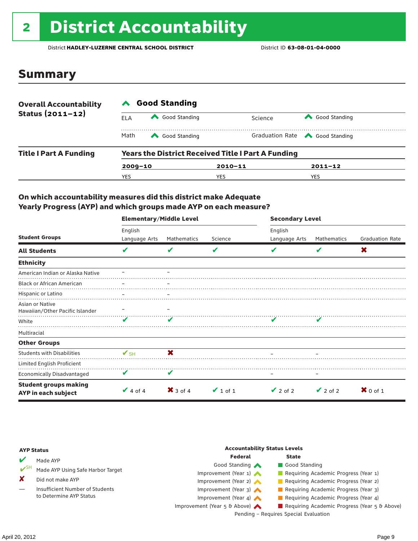# 2 District Accountability

District **HADLEY-LUZERNE CENTRAL SCHOOL DISTRICT** District ID **63-08-01-04-0000**

### Summary

| <b>Overall Accountability</b> | <b>Good Standing</b>                                      |               |             |                                       |  |  |  |
|-------------------------------|-----------------------------------------------------------|---------------|-------------|---------------------------------------|--|--|--|
| Status $(2011 - 12)$          | ELA                                                       | Good Standing |             | Good Standing<br>Science              |  |  |  |
|                               | Math                                                      | Good Standing |             | Graduation Rate <a> Good Standing</a> |  |  |  |
| <b>Title I Part A Funding</b> | <b>Years the District Received Title I Part A Funding</b> |               |             |                                       |  |  |  |
|                               | $2009 - 10$                                               |               | $2010 - 11$ | $2011 - 12$                           |  |  |  |
|                               | YES                                                       |               | YES         | <b>YES</b>                            |  |  |  |

### On which accountability measures did this district make Adequate Yearly Progress (AYP) and which groups made AYP on each measure?

|                                                     |                          | <b>Elementary/Middle Level</b> |               |               | <b>Secondary Level</b> |                        |  |  |
|-----------------------------------------------------|--------------------------|--------------------------------|---------------|---------------|------------------------|------------------------|--|--|
|                                                     | English                  |                                |               | English       |                        |                        |  |  |
| <b>Student Groups</b>                               | Language Arts            | Mathematics                    | Science       | Language Arts | Mathematics            | <b>Graduation Rate</b> |  |  |
| <b>All Students</b>                                 | V                        | V                              | V             |               | V                      | X                      |  |  |
| <b>Ethnicity</b>                                    |                          |                                |               |               |                        |                        |  |  |
| American Indian or Alaska Native                    |                          |                                |               |               |                        |                        |  |  |
| <b>Black or African American</b>                    |                          |                                |               |               |                        |                        |  |  |
| Hispanic or Latino                                  |                          |                                |               |               |                        |                        |  |  |
| Asian or Native<br>Hawaiian/Other Pacific Islander  |                          |                                |               |               |                        |                        |  |  |
| White                                               | v                        | v                              |               |               |                        |                        |  |  |
| Multiracial                                         |                          |                                |               |               |                        |                        |  |  |
| <b>Other Groups</b>                                 |                          |                                |               |               |                        |                        |  |  |
| <b>Students with Disabilities</b>                   | $\mathbf{V}_{\text{SH}}$ | $\mathbf x$                    |               |               |                        |                        |  |  |
| Limited English Proficient                          |                          |                                |               |               |                        |                        |  |  |
| <b>Economically Disadvantaged</b>                   | V                        | V                              |               |               |                        |                        |  |  |
| <b>Student groups making</b><br>AYP in each subject | $\vee$ 4 of 4            | $\mathsf{X}$ 3 of 4            | $\vee$ 1 of 1 | $\vee$ 2 of 2 | $\vee$ 2 of 2          | $X$ 0 of 1             |  |  |

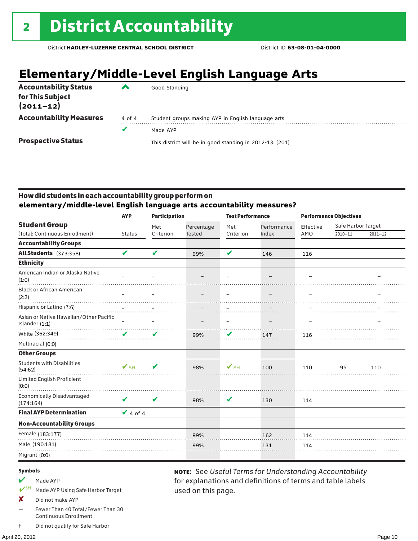## **Elementary/Middle-Level English Language Arts**

| <b>Accountability Status</b><br>for This Subject<br>$(2011 - 12)$ | ▰      | Good Standing                                            |
|-------------------------------------------------------------------|--------|----------------------------------------------------------|
| <b>Accountability Measures</b>                                    | 4 of 4 | Student groups making AYP in English language arts       |
|                                                                   | v      | Made AYP                                                 |
| <b>Prospective Status</b>                                         |        | This district will be in good standing in 2012-13. [201] |

### How did students in each accountability group perform on **elementary/middle-level English language arts accountability measures?**

| <b>AYP</b>               |                            |                          |                          |                          |                          | <b>Performance Objectives</b> |                    |
|--------------------------|----------------------------|--------------------------|--------------------------|--------------------------|--------------------------|-------------------------------|--------------------|
|                          | Met                        | Percentage               | Met                      | Performance              | Effective                |                               |                    |
| <b>Status</b>            | Criterion                  | <b>Tested</b>            | Criterion                | Index                    | AMO                      | $2010 - 11$                   | $2011 - 12$        |
|                          |                            |                          |                          |                          |                          |                               |                    |
| V                        | V                          | 99%                      | V                        | 146                      | 116                      |                               |                    |
|                          |                            |                          |                          |                          |                          |                               |                    |
|                          |                            |                          |                          |                          |                          |                               |                    |
|                          |                            | $\overline{\phantom{m}}$ |                          | $\qquad \qquad -$        |                          |                               |                    |
|                          |                            |                          |                          |                          |                          |                               |                    |
| $\equiv$                 | $\equiv$                   |                          | $\overline{\phantom{m}}$ | $\overline{\phantom{0}}$ | $\overline{\phantom{0}}$ |                               |                    |
| V                        | V                          | 99%                      | V                        | 147                      | 116                      |                               |                    |
|                          |                            |                          |                          |                          |                          |                               |                    |
|                          |                            |                          |                          |                          |                          |                               |                    |
| $\mathbf{V}_{\text{SH}}$ | V                          | 98%                      | $V_{\text{SH}}$          | 100                      | 110                      | 95                            | 110                |
|                          |                            |                          |                          |                          |                          |                               |                    |
| ✔                        | $\boldsymbol{\mathcal{U}}$ | 98%                      | V                        | 130                      | 114                      |                               |                    |
|                          |                            |                          |                          |                          |                          |                               |                    |
|                          |                            |                          |                          |                          |                          |                               |                    |
|                          |                            | 99%                      |                          | 162                      | 114                      |                               |                    |
|                          |                            | 99%                      |                          | 131                      | 114                      |                               |                    |
|                          |                            |                          |                          |                          |                          |                               |                    |
|                          |                            | $\vee$ 4 of 4            | <b>Participation</b>     |                          | <b>Test Performance</b>  |                               | Safe Harbor Target |

used on this page.

note: See *Useful Terms for Understanding Accountability*  for explanations and definitions of terms and table labels

#### Symbols

- $M$  Made AYP
- ✔SH Made AYP Using Safe Harbor Target
- X Did not make AYP
- Fewer Than 40 Total/Fewer Than 30 Continuous Enrollment
- ‡ Did not qualify for Safe Harbor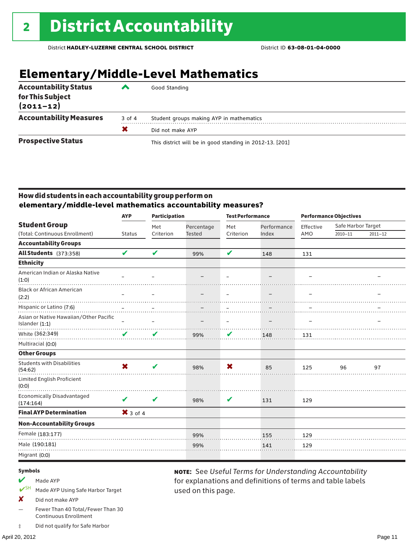## **Elementary/Middle-Level Mathematics**

| <b>Accountability Status</b><br>for This Subject<br>$(2011 - 12)$ | ◚      | Good Standing                                            |
|-------------------------------------------------------------------|--------|----------------------------------------------------------|
| <b>Accountability Measures</b>                                    | 3 of 4 | Student groups making AYP in mathematics                 |
|                                                                   | X      | Did not make AYP                                         |
| <b>Prospective Status</b>                                         |        | This district will be in good standing in 2012-13. [201] |

### How did students in each accountability group perform on **elementary/middle-level mathematics accountability measures?**

|                                                                                      | <b>AYP</b>              | <b>Participation</b> |               | <b>Test Performance</b>  |                   | <b>Performance Objectives</b> |                    |             |
|--------------------------------------------------------------------------------------|-------------------------|----------------------|---------------|--------------------------|-------------------|-------------------------------|--------------------|-------------|
| <b>Student Group</b>                                                                 |                         | Met                  | Percentage    | Met                      | Performance       | Effective                     | Safe Harbor Target |             |
| (Total: Continuous Enrollment)                                                       | <b>Status</b>           | Criterion            | <b>Tested</b> | Criterion                | Index             | AMO                           | $2010 - 11$        | $2011 - 12$ |
| <b>Accountability Groups</b>                                                         |                         |                      |               |                          |                   |                               |                    |             |
| All Students (373:358)                                                               | V                       | V                    | 99%           | V                        | 148               | 131                           |                    |             |
| <b>Ethnicity</b>                                                                     |                         |                      |               |                          |                   |                               |                    |             |
| American Indian or Alaska Native<br>(1:0)                                            |                         |                      |               |                          |                   |                               |                    |             |
| <b>Black or African American</b><br>(2:2)                                            |                         |                      |               | $\equiv$                 |                   |                               |                    |             |
| Hispanic or Latino (7:6)<br>Asian or Native Hawaiian/Other Pacific<br>Islander (1:1) |                         |                      |               | $\overline{\phantom{m}}$ | $\qquad \qquad -$ | $\overline{\phantom{0}}$      |                    |             |
| White (362:349)                                                                      | V                       | V                    | 99%           | V                        | 148               | 131                           |                    |             |
| Multiracial (0:0)                                                                    |                         |                      |               |                          |                   |                               |                    |             |
| <b>Other Groups</b>                                                                  |                         |                      |               |                          |                   |                               |                    |             |
| <b>Students with Disabilities</b><br>(54:62)                                         | $\overline{\mathbf{x}}$ | $\boldsymbol{\nu}$   | 98%           | X                        | 85                | 125                           | 96                 | 97          |
| Limited English Proficient<br>(0:0)                                                  |                         |                      |               |                          |                   |                               |                    |             |
| <b>Economically Disadvantaged</b><br>(174:164)                                       | ✔                       | $\mathbf v$          | 98%           | V                        | 131               | 129                           |                    |             |
| <b>Final AYP Determination</b>                                                       | $X$ 3 of 4              |                      |               |                          |                   |                               |                    |             |
| <b>Non-Accountability Groups</b>                                                     |                         |                      |               |                          |                   |                               |                    |             |
| Female (183:177)                                                                     |                         |                      | 99%           |                          | 155               | 129                           |                    |             |
| Male (190:181)                                                                       |                         |                      | 99%           |                          | 141               | 129                           |                    |             |
| Migrant (0:0)                                                                        |                         |                      |               |                          |                   |                               |                    |             |

used on this page.

note: See *Useful Terms for Understanding Accountability*  for explanations and definitions of terms and table labels

#### Symbols

- $M$  Made AYP
- ✔SH Made AYP Using Safe Harbor Target
- X Did not make AYP
- Fewer Than 40 Total/Fewer Than 30 Continuous Enrollment
- ‡ Did not qualify for Safe Harbor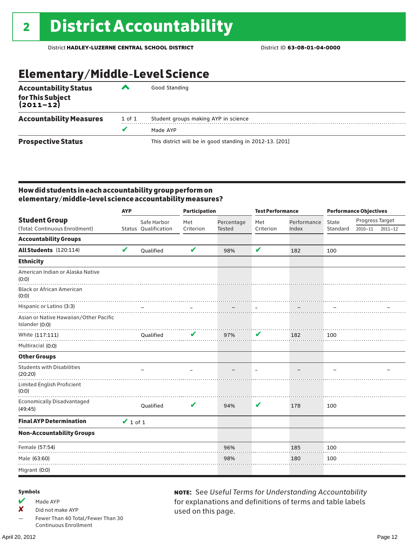## Elementary/Middle-Level Science

| <b>Accountability Status</b><br>for This Subject<br>(2011–12) | ▰      | Good Standing                                            |
|---------------------------------------------------------------|--------|----------------------------------------------------------|
| <b>Accountability Measures</b>                                | 1 of 1 | Student groups making AYP in science                     |
|                                                               | v      | Made AYP                                                 |
| <b>Prospective Status</b>                                     |        | This district will be in good standing in 2012-13. [201] |

### How did students in each accountability group perform on elementary/middle-level science accountability measures?

|                                                          | <b>AYP</b>    |                      | <b>Participation</b> |               | <b>Test Performance</b> |             | <b>Performance Objectives</b> |                 |             |
|----------------------------------------------------------|---------------|----------------------|----------------------|---------------|-------------------------|-------------|-------------------------------|-----------------|-------------|
| <b>Student Group</b>                                     |               | Safe Harbor          | Met                  | Percentage    | Met                     | Performance | State                         | Progress Target |             |
| (Total: Continuous Enrollment)                           |               | Status Qualification | Criterion            | <b>Tested</b> | Criterion               | Index       | Standard                      | $2010 - 11$     | $2011 - 12$ |
| <b>Accountability Groups</b>                             |               |                      |                      |               |                         |             |                               |                 |             |
| All Students (120:114)                                   | V             | Qualified            | V                    | 98%           | V                       | 182         | 100                           |                 |             |
| <b>Ethnicity</b>                                         |               |                      |                      |               |                         |             |                               |                 |             |
| American Indian or Alaska Native<br>(0:0)                |               |                      |                      |               |                         |             |                               |                 |             |
| <b>Black or African American</b><br>(0:0)                |               |                      |                      |               |                         |             |                               |                 |             |
| Hispanic or Latino (3:3)                                 |               |                      |                      |               |                         |             |                               |                 |             |
| Asian or Native Hawaiian/Other Pacific<br>Islander (0:0) |               |                      |                      |               |                         |             |                               |                 |             |
| White (117:111)                                          |               | Qualified            | V                    | 97%           | V                       | 182         | 100                           |                 |             |
| Multiracial (0:0)                                        |               |                      |                      |               |                         |             |                               |                 |             |
| <b>Other Groups</b>                                      |               |                      |                      |               |                         |             |                               |                 |             |
| <b>Students with Disabilities</b><br>(20:20)             |               |                      |                      |               |                         |             |                               |                 |             |
| Limited English Proficient<br>(0:0)                      |               |                      |                      |               |                         |             |                               |                 |             |
| <b>Economically Disadvantaged</b><br>(49:45)             |               | Qualified            | V                    | 94%           | V                       | 178         | 100                           |                 |             |
| <b>Final AYP Determination</b>                           | $\vee$ 1 of 1 |                      |                      |               |                         |             |                               |                 |             |
| <b>Non-Accountability Groups</b>                         |               |                      |                      |               |                         |             |                               |                 |             |
| Female (57:54)                                           |               |                      |                      | 96%           |                         | 185         | 100                           |                 |             |
| Male (63:60)                                             |               |                      |                      | 98%           |                         | 180         | 100                           |                 |             |
| Migrant (0:0)                                            |               |                      |                      |               |                         |             |                               |                 |             |
|                                                          |               |                      |                      |               |                         |             |                               |                 |             |

#### Symbols

- $M$  Made AYP
- ✘ Did not make AYP
- Fewer Than 40 Total/Fewer Than 30 Continuous Enrollment

April 20, 2012 Page 12

note: See *Useful Terms for Understanding Accountability*  for explanations and definitions of terms and table labels used on this page.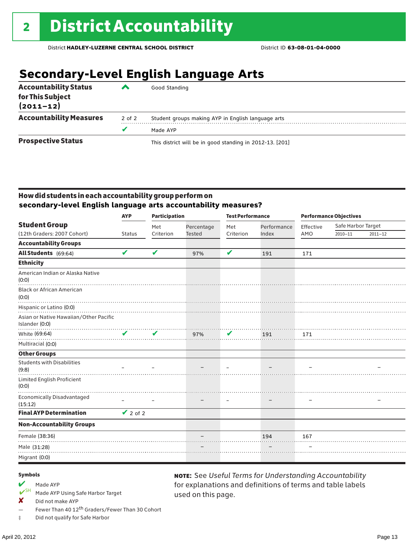## **Secondary-Level English Language Arts**

| <b>Accountability Status</b>      | ▰      | Good Standing                                            |
|-----------------------------------|--------|----------------------------------------------------------|
| for This Subject<br>$(2011 - 12)$ |        |                                                          |
| <b>Accountability Measures</b>    | 2 of 2 | Student groups making AYP in English language arts       |
|                                   | v      | Made AYP                                                 |
| <b>Prospective Status</b>         |        | This district will be in good standing in 2012-13. [201] |

### How did students in each accountability group perform on **secondary-level English language arts accountability measures?**

|                                                                                      | <b>AYP</b>    |           | <b>Participation</b> |             | <b>Test Performance</b> |           | <b>Performance Objectives</b> |             |  |
|--------------------------------------------------------------------------------------|---------------|-----------|----------------------|-------------|-------------------------|-----------|-------------------------------|-------------|--|
| <b>Student Group</b>                                                                 |               | Met       | Percentage           | Met         | Performance             | Effective | Safe Harbor Target            |             |  |
| (12th Graders: 2007 Cohort)                                                          | <b>Status</b> | Criterion | <b>Tested</b>        | Criterion   | Index                   | AMO       | $2010 - 11$                   | $2011 - 12$ |  |
| <b>Accountability Groups</b>                                                         |               |           |                      |             |                         |           |                               |             |  |
| All Students (69:64)                                                                 | V             | V         | 97%                  | V           | 191                     | 171       |                               |             |  |
| <b>Ethnicity</b>                                                                     |               |           |                      |             |                         |           |                               |             |  |
| American Indian or Alaska Native<br>(0:0)                                            |               |           |                      |             |                         |           |                               |             |  |
| <b>Black or African American</b><br>(0:0)                                            |               |           |                      |             |                         |           |                               |             |  |
| Hispanic or Latino (0:0)<br>Asian or Native Hawaiian/Other Pacific<br>Islander (0:0) |               |           |                      |             |                         |           |                               |             |  |
| White (69:64)                                                                        | V             | V         | 97%                  | $\mathbf v$ | 191                     | 171       |                               |             |  |
| Multiracial (0:0)                                                                    |               |           |                      |             |                         |           |                               |             |  |
| <b>Other Groups</b>                                                                  |               |           |                      |             |                         |           |                               |             |  |
| <b>Students with Disabilities</b><br>(9:8)                                           |               |           |                      |             |                         |           |                               |             |  |
| Limited English Proficient<br>(0:0)                                                  |               |           |                      |             |                         |           |                               |             |  |
| <b>Economically Disadvantaged</b><br>(15:12)                                         |               |           |                      |             |                         |           |                               |             |  |
| <b>Final AYP Determination</b>                                                       | $\vee$ 2 of 2 |           |                      |             |                         |           |                               |             |  |
| <b>Non-Accountability Groups</b>                                                     |               |           |                      |             |                         |           |                               |             |  |
| Female (38:36)                                                                       |               |           |                      |             | 194                     | 167       |                               |             |  |
| Male (31:28)                                                                         |               |           |                      |             |                         |           |                               |             |  |
| Migrant (0:0)                                                                        |               |           |                      |             |                         |           |                               |             |  |

used on this page.

note: See *Useful Terms for Understanding Accountability*  for explanations and definitions of terms and table labels

#### Symbols

- Made AYP<br> **V**SH Made AVP
- Made AYP Using Safe Harbor Target
- X Did not make AYP
- Fewer Than 40 12<sup>th</sup> Graders/Fewer Than 30 Cohort
- ‡ Did not qualify for Safe Harbor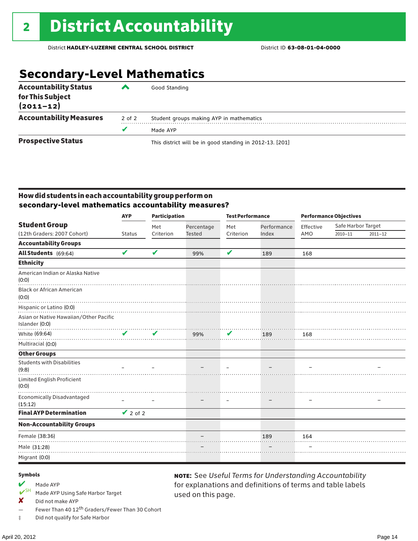## **Secondary-Level Mathematics**

| <b>Accountability Status</b><br>for This Subject<br>$(2011 - 12)$ |        | Good Standing                                            |
|-------------------------------------------------------------------|--------|----------------------------------------------------------|
| <b>Accountability Measures</b>                                    | 2 of 2 | Student groups making AYP in mathematics                 |
|                                                                   | v      | Made AYP                                                 |
| <b>Prospective Status</b>                                         |        | This district will be in good standing in 2012-13. [201] |

### How did students in each accountability group perform on **secondary-level mathematics accountability measures?**

|                                                                                      | <b>AYP</b>    | <b>Participation</b>       |               | <b>Test Performance</b> |             | <b>Performance Objectives</b> |                    |             |
|--------------------------------------------------------------------------------------|---------------|----------------------------|---------------|-------------------------|-------------|-------------------------------|--------------------|-------------|
| <b>Student Group</b>                                                                 |               | Met                        | Percentage    | Met                     | Performance | Effective                     | Safe Harbor Target |             |
| (12th Graders: 2007 Cohort)                                                          | <b>Status</b> | Criterion                  | <b>Tested</b> | Criterion               | Index       | AMO                           | $2010 - 11$        | $2011 - 12$ |
| <b>Accountability Groups</b>                                                         |               |                            |               |                         |             |                               |                    |             |
| All Students (69:64)                                                                 | V             | V                          | 99%           | V                       | 189         | 168                           |                    |             |
| <b>Ethnicity</b>                                                                     |               |                            |               |                         |             |                               |                    |             |
| American Indian or Alaska Native<br>(0:0)                                            |               |                            |               |                         |             |                               |                    |             |
| <b>Black or African American</b><br>(0:0)                                            |               |                            |               |                         |             |                               |                    |             |
| Hispanic or Latino (0:0)<br>Asian or Native Hawaiian/Other Pacific<br>Islander (0:0) |               |                            |               |                         |             |                               |                    |             |
| White (69:64)                                                                        | ✔             | $\boldsymbol{\mathcal{U}}$ | 99%           | V                       | 189         | 168                           |                    |             |
| Multiracial (0:0)                                                                    |               |                            |               |                         |             |                               |                    |             |
| <b>Other Groups</b>                                                                  |               |                            |               |                         |             |                               |                    |             |
| <b>Students with Disabilities</b><br>(9:8)                                           |               |                            |               |                         |             |                               |                    |             |
| <b>Limited English Proficient</b><br>(0:0)                                           |               |                            |               |                         |             |                               |                    |             |
| <b>Economically Disadvantaged</b><br>(15:12)                                         |               |                            |               |                         |             |                               |                    |             |
| <b>Final AYP Determination</b>                                                       | $\vee$ 2 of 2 |                            |               |                         |             |                               |                    |             |
| <b>Non-Accountability Groups</b>                                                     |               |                            |               |                         |             |                               |                    |             |
| Female (38:36)                                                                       |               |                            |               |                         | 189         | 164                           |                    |             |
| Male (31:28)                                                                         |               |                            |               |                         |             |                               |                    |             |
| Migrant (0:0)                                                                        |               |                            |               |                         |             |                               |                    |             |

used on this page.

note: See *Useful Terms for Understanding Accountability*  for explanations and definitions of terms and table labels

#### Symbols

## Made AYP<br>  $V$ <sup>SH</sup> Made AVP

- Made AYP Using Safe Harbor Target
- ✘ Did not make AYP
- Fewer Than 40 12<sup>th</sup> Graders/Fewer Than 30 Cohort
- ‡ Did not qualify for Safe Harbor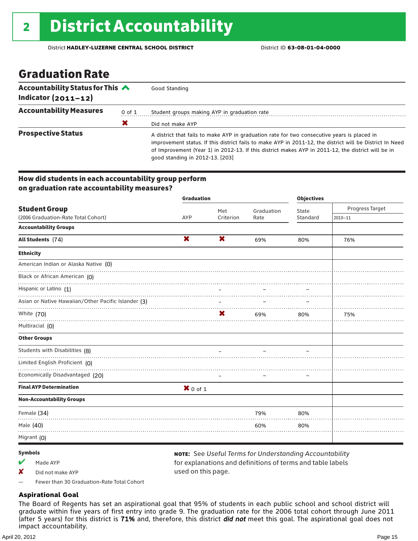## Graduation Rate

| Accountability Status for This $\triangle$<br>Indicator $(2011-12)$ |            | Good Standing                                                                                                                                                                                                                                                                                                                                    |
|---------------------------------------------------------------------|------------|--------------------------------------------------------------------------------------------------------------------------------------------------------------------------------------------------------------------------------------------------------------------------------------------------------------------------------------------------|
| <b>Accountability Measures</b>                                      | $0$ of $1$ | Student groups making AYP in graduation rate                                                                                                                                                                                                                                                                                                     |
|                                                                     | Х          | Did not make AYP                                                                                                                                                                                                                                                                                                                                 |
| <b>Prospective Status</b>                                           |            | A district that fails to make AYP in graduation rate for two consecutive years is placed in<br>improvement status. If this district fails to make AYP in 2011-12, the district will be District In Need<br>of Improvement (Year 1) in 2012-13. If this district makes AYP in 2011-12, the district will be in<br>good standing in 2012-13. [203] |

### How did students in each accountability group perform on graduation rate accountability measures?

|                                                     | <b>Graduation</b> |                           |            |          | <b>Objectives</b> |  |  |
|-----------------------------------------------------|-------------------|---------------------------|------------|----------|-------------------|--|--|
| <b>Student Group</b>                                |                   | Met                       | Graduation | State    | Progress Target   |  |  |
| (2006 Graduation-Rate Total Cohort)                 | <b>AYP</b>        | Criterion                 | Rate       | Standard | $2010 - 11$       |  |  |
| <b>Accountability Groups</b>                        |                   |                           |            |          |                   |  |  |
| All Students (74)                                   | X                 | $\boldsymbol{\mathsf{x}}$ | 69%        | 80%      | 76%               |  |  |
| <b>Ethnicity</b>                                    |                   |                           |            |          |                   |  |  |
| American Indian or Alaska Native (0)                |                   |                           |            |          |                   |  |  |
| Black or African American (0)                       |                   |                           |            |          |                   |  |  |
| Hispanic or Latino (1)                              |                   |                           |            |          |                   |  |  |
| Asian or Native Hawaiian/Other Pacific Islander (3) |                   | $\qquad \qquad -$         |            |          |                   |  |  |
| White (70)                                          |                   | X                         | 69%        | 80%      | 75%               |  |  |
| Multiracial (0)                                     |                   |                           |            |          |                   |  |  |
| <b>Other Groups</b>                                 |                   |                           |            |          |                   |  |  |
| Students with Disabilities (8)                      |                   |                           |            |          |                   |  |  |
| Limited English Proficient (0)                      |                   |                           |            |          |                   |  |  |
| Economically Disadvantaged (20)                     |                   |                           |            |          |                   |  |  |
| <b>Final AYP Determination</b>                      | $X$ 0 of 1        |                           |            |          |                   |  |  |
| <b>Non-Accountability Groups</b>                    |                   |                           |            |          |                   |  |  |
| Female (34)                                         |                   |                           | 79%        | 80%      |                   |  |  |
| Male (40)                                           |                   |                           | 60%        | 80%      |                   |  |  |
| Migrant (0)                                         |                   |                           |            |          |                   |  |  |

#### Symbols

 $M$  Made AYP

✘ Did not make AYP

note: See *Useful Terms for Understanding Accountability*  for explanations and definitions of terms and table labels used on this page.

— Fewer than 30 Graduation-Rate Total Cohort

#### **Aspirational Goal**

The Board of Regents has set an aspirational goal that 95% of students in each public school and school district will graduate within five years of first entry into grade 9. The graduation rate for the 2006 total cohort through June 2011 (after 5 years) for this district is 71% and, therefore, this district *did not* meet this goal. The aspirational goal does not impact accountability.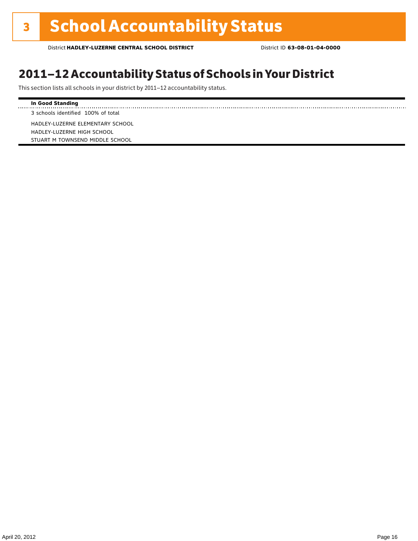## 2011–12 Accountability Status of Schools in Your District

This section lists all schools in your district by 2011–12 accountability status.

#### **In Good Standing**

3 schools identified 100% of total

HADLEY-LUZERNE ELEMENTARY SCHOOL HADLEY-LUZERNE HIGH SCHOOL STUART M TOWNSEND MIDDLE SCHOOL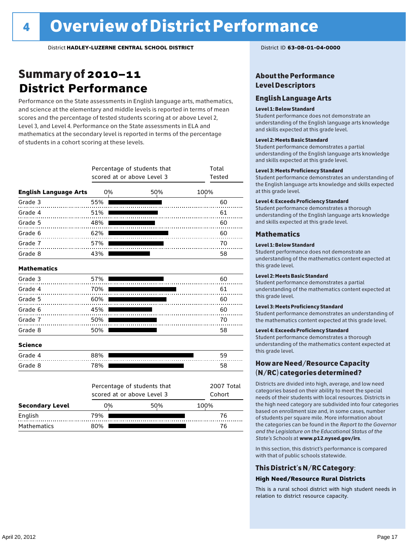## Summary of 2010–11 **District Performance**

Performance on the State assessments in English language arts, mathematics, and science at the elementary and middle levels is reported in terms of mean scores and the percentage of tested students scoring at or above Level 2, Level 3, and Level 4. Performance on the State assessments in ELA and mathematics at the secondary level is reported in terms of the percentage of students in a cohort scoring at these levels.

|                              |     | Percentage of students that<br>scored at or above Level 3 |                      | Total<br>Tested |
|------------------------------|-----|-----------------------------------------------------------|----------------------|-----------------|
| <b>English Language Arts</b> | 0%  |                                                           | 100%                 |                 |
| Grade 3                      | 55% |                                                           |                      | 60              |
| Grade 4<br>.                 | 51% |                                                           |                      | 61              |
| Grade 5                      | 48% |                                                           |                      | 60              |
| Grade 6                      | 62% |                                                           |                      | 60              |
| Grade 7                      | 57% |                                                           |                      | 70              |
| Grade 8                      | 43% |                                                           |                      | 58              |
| <b>Mathematics</b>           |     |                                                           |                      |                 |
| Grade 3                      | 57% |                                                           |                      | 60              |
| Grade 4                      | 70% |                                                           |                      | 61              |
| Grade 5                      | 60% |                                                           |                      | 60              |
| Grade 6                      | 45% |                                                           |                      | 60              |
| Grade 7                      | 50% |                                                           |                      | 70              |
| Grade 8                      | 50% |                                                           |                      | 58              |
| <b>Science</b>               |     |                                                           |                      |                 |
| Grade 4                      | 88% |                                                           |                      | 59              |
| Grade 8                      | 78% |                                                           |                      | 58              |
|                              |     | Percentage of students that<br>scored at or above Level 3 | 2007 Total<br>Cohort |                 |
| <b>Secondary Level</b>       | 0%  |                                                           | 50%                  | 100%            |
| English                      | 79% |                                                           |                      | 76              |

Mathematics 80% 80% 76

### About the Performance Level Descriptors

#### English Language Arts

#### Level 1: Below Standard

Student performance does not demonstrate an understanding of the English language arts knowledge and skills expected at this grade level.

#### Level 2: Meets Basic Standard

Student performance demonstrates a partial understanding of the English language arts knowledge and skills expected at this grade level.

#### Level 3: Meets Proficiency Standard

Student performance demonstrates an understanding of the English language arts knowledge and skills expected at this grade level.

#### Level 4: Exceeds Proficiency Standard

Student performance demonstrates a thorough understanding of the English language arts knowledge and skills expected at this grade level.

#### Mathematics

#### Level 1: Below Standard

Student performance does not demonstrate an understanding of the mathematics content expected at this grade level.

#### Level 2: Meets Basic Standard

Student performance demonstrates a partial understanding of the mathematics content expected at this grade level.

#### Level 3: Meets Proficiency Standard

Student performance demonstrates an understanding of the mathematics content expected at this grade level.

#### Level 4: Exceeds Proficiency Standard

Student performance demonstrates a thorough understanding of the mathematics content expected at this grade level.

### How are Need/Resource Capacity (N/RC) categories determined?

Districts are divided into high, average, and low need categories based on their ability to meet the special needs of their students with local resources. Districts in the high need category are subdivided into four categories based on enrollment size and, in some cases, number of students per square mile. More information about the categories can be found in the *Report to the Governor and the Legislature on the Educational Status of the State's Schools* at www.p12.nysed.gov/irs.

In this section, this district's performance is compared with that of public schools statewide.

### This District's N/RC Category:

#### **High Need/Resource Rural Districts**

This is a rural school district with high student needs in relation to district resource capacity.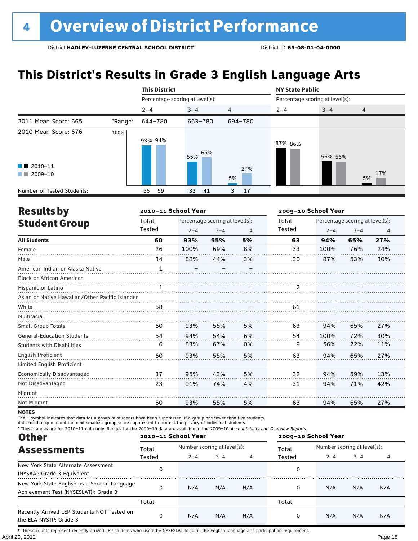## **This District's Results in Grade 3 English Language Arts**

|                                                    |         | <b>This District</b>            |            |                |         | <b>NY State Public</b>          |                |  |  |
|----------------------------------------------------|---------|---------------------------------|------------|----------------|---------|---------------------------------|----------------|--|--|
|                                                    |         | Percentage scoring at level(s): |            |                |         | Percentage scoring at level(s): |                |  |  |
|                                                    |         | $2 - 4$                         | $3 - 4$    | $\overline{4}$ | $2 - 4$ | $3 - 4$                         | $\overline{4}$ |  |  |
| 2011 Mean Score: 665                               | *Range: | 644-780                         | 663-780    | 694-780        |         |                                 |                |  |  |
| 2010 Mean Score: 676                               | 100%    | 93% 94%                         | 65%<br>55% |                | 87% 86% | 56% 55%                         |                |  |  |
| $\blacksquare$ 2010-11<br>2009-10<br><b>The Co</b> |         |                                 |            | 27%<br>5%      |         |                                 | 17%<br>5%      |  |  |
| Number of Tested Students:                         |         | 59<br>56                        | 33<br>41   | 17<br>3        |         |                                 |                |  |  |

| <b>Results by</b>                               |              | 2010-11 School Year |                                 |                | 2009-10 School Year |                                 |         |                |  |  |  |
|-------------------------------------------------|--------------|---------------------|---------------------------------|----------------|---------------------|---------------------------------|---------|----------------|--|--|--|
| <b>Student Group</b>                            | Total        |                     | Percentage scoring at level(s): |                | Total               | Percentage scoring at level(s): |         |                |  |  |  |
|                                                 | Tested       | $2 - 4$             | $3 - 4$                         | $\overline{4}$ | Tested              | $2 - 4$                         | $3 - 4$ | $\overline{4}$ |  |  |  |
| <b>All Students</b>                             | 60           | 93%                 | 55%                             | 5%             | 63                  | 94%                             | 65%     | 27%            |  |  |  |
| Female                                          | 26           | 100%                | 69%                             | 8%             | 33                  | 100%                            | 76%     | 24%            |  |  |  |
| Male                                            | 34           | 88%                 | 44%                             | 3%             | 30                  | 87%                             | 53%     | 30%            |  |  |  |
| American Indian or Alaska Native                | 1            |                     |                                 |                |                     |                                 |         |                |  |  |  |
| <b>Black or African American</b>                |              |                     |                                 |                |                     |                                 |         |                |  |  |  |
| Hispanic or Latino                              | $\mathbf{1}$ |                     |                                 |                | 2                   |                                 |         |                |  |  |  |
| Asian or Native Hawaiian/Other Pacific Islander |              |                     |                                 |                |                     |                                 |         |                |  |  |  |
| White                                           | 58           |                     |                                 |                | 61                  |                                 |         |                |  |  |  |
| Multiracial                                     |              |                     |                                 |                |                     |                                 |         |                |  |  |  |
| <b>Small Group Totals</b>                       | 60           | 93%                 | 55%                             | 5%             | 63                  | 94%                             | 65%     | 27%            |  |  |  |
| <b>General-Education Students</b>               | 54           | 94%                 | 54%                             | 6%             | 54                  | 100%                            | 72%     | 30%            |  |  |  |
| <b>Students with Disabilities</b>               | 6            | 83%                 | 67%                             | 0%             | 9                   | 56%                             | 22%     | 11%            |  |  |  |
| English Proficient                              | 60           | 93%                 | 55%                             | 5%             | 63                  | 94%                             | 65%     | 27%            |  |  |  |
| Limited English Proficient                      |              |                     |                                 |                |                     |                                 |         |                |  |  |  |
| Economically Disadvantaged                      | 37           | 95%                 | 43%                             | 5%             | 32                  | 94%                             | 59%     | 13%            |  |  |  |
| Not Disadvantaged                               | 23           | 91%                 | 74%                             | 4%             | 31                  | 94%                             | 71%     | 42%            |  |  |  |
| Migrant                                         |              |                     |                                 |                |                     |                                 |         |                |  |  |  |
| Not Migrant                                     | 60           | 93%                 | 55%                             | 5%             | 63                  | 94%                             | 65%     | 27%            |  |  |  |

**NOTES** 

The – symbol indicates that data for a group of students have been suppressed. If a group has fewer than five students,

data for that group and the next smallest group(s) are suppressed to protect the privacy of individual students.

\* These ranges are for 2010–11 data only. Ranges for the 2009–10 data are available in the 2009–10 Accountability and Overview Reports.

| <b>Other</b>                                                                                      | 2010-11 School Year |                             |         |     | 2009-10 School Year |         |                             |     |  |
|---------------------------------------------------------------------------------------------------|---------------------|-----------------------------|---------|-----|---------------------|---------|-----------------------------|-----|--|
| <b>Assessments</b>                                                                                | Total               | Number scoring at level(s): |         |     | Total               |         | Number scoring at level(s): |     |  |
|                                                                                                   | Tested              | $2 - 4$                     | $3 - 4$ |     | Tested              | $2 - 4$ | $3 - 4$                     |     |  |
| New York State Alternate Assessment<br>(NYSAA): Grade 3 Equivalent                                |                     |                             |         |     | 0                   |         |                             |     |  |
| New York State English as a Second Language<br>Achievement Test (NYSESLAT) <sup>+</sup> : Grade 3 |                     | N/A                         | N/A     | N/A | 0                   | N/A     | N/A                         | N/A |  |
|                                                                                                   | Total               |                             |         |     | Total               |         |                             |     |  |
| Recently Arrived LEP Students NOT Tested on<br>the ELA NYSTP: Grade 3                             |                     | N/A                         | N/A     | N/A | 0                   | N/A     | N/A                         | N/A |  |

April 20, 2012 Page 18 † These counts represent recently arrived LEP students who used the NYSESLAT to fulfill the English language arts participation requirement.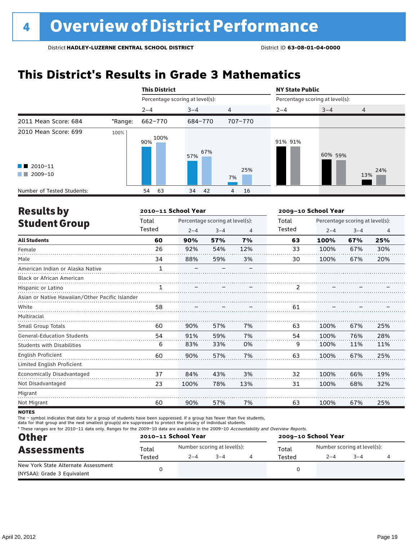## **This District's Results in Grade 3 Mathematics**

|                                                                          |         | <b>This District</b>            |            |           | <b>NY State Public</b>          |         |                |  |  |
|--------------------------------------------------------------------------|---------|---------------------------------|------------|-----------|---------------------------------|---------|----------------|--|--|
|                                                                          |         | Percentage scoring at level(s): |            |           | Percentage scoring at level(s): |         |                |  |  |
|                                                                          |         | $2 - 4$                         | $3 - 4$    | 4         | $2 - 4$                         | $3 - 4$ | $\overline{4}$ |  |  |
| 2011 Mean Score: 684                                                     | *Range: | 662-770                         | 684-770    | 707-770   |                                 |         |                |  |  |
| 2010 Mean Score: 699<br>$\blacksquare$ 2010-11<br>2009-10<br>a kacamatan | 100%    | 100%<br>90%                     | 67%<br>57% | 25%<br>7% | 91% 91%                         | 60% 59% | 24%<br>13%     |  |  |
| Number of Tested Students:                                               |         | 63<br>54                        | - 42<br>34 | 16<br>4   |                                 |         |                |  |  |

| <b>Results by</b>                               |              | 2010-11 School Year |                                 |     | 2009-10 School Year |         |                                 |     |  |
|-------------------------------------------------|--------------|---------------------|---------------------------------|-----|---------------------|---------|---------------------------------|-----|--|
| <b>Student Group</b>                            | Total        |                     | Percentage scoring at level(s): |     | Total               |         | Percentage scoring at level(s): |     |  |
|                                                 | Tested       | $2 - 4$             | $3 - 4$                         | 4   | Tested              | $2 - 4$ | $3 - 4$                         | 4   |  |
| <b>All Students</b>                             | 60           | 90%                 | 57%                             | 7%  | 63                  | 100%    | 67%                             | 25% |  |
| Female                                          | 26           | 92%                 | 54%                             | 12% | 33                  | 100%    | 67%                             | 30% |  |
| Male                                            | 34           | 88%                 | 59%                             | 3%  | 30                  | 100%    | 67%                             | 20% |  |
| American Indian or Alaska Native                | $\mathbf{1}$ |                     |                                 |     |                     |         |                                 |     |  |
| <b>Black or African American</b>                |              |                     |                                 |     |                     |         |                                 |     |  |
| Hispanic or Latino                              | 1            |                     |                                 |     | 2                   |         |                                 |     |  |
| Asian or Native Hawaiian/Other Pacific Islander |              |                     |                                 |     |                     |         |                                 |     |  |
| White                                           | 58           |                     |                                 |     | 61                  |         |                                 |     |  |
| Multiracial                                     |              |                     |                                 |     |                     |         |                                 |     |  |
| Small Group Totals                              | 60           | 90%                 | 57%                             | 7%  | 63                  | 100%    | 67%                             | 25% |  |
| <b>General-Education Students</b>               | 54           | 91%                 | 59%                             | 7%  | 54                  | 100%    | 76%                             | 28% |  |
| <b>Students with Disabilities</b>               | 6            | 83%                 | 33%                             | 0%  | 9                   | 100%    | 11%                             | 11% |  |
| English Proficient                              | 60           | 90%                 | 57%                             | 7%  | 63                  | 100%    | 67%                             | 25% |  |
| Limited English Proficient                      |              |                     |                                 |     |                     |         |                                 |     |  |
| Economically Disadvantaged                      | 37           | 84%                 | 43%                             | 3%  | 32                  | 100%    | 66%                             | 19% |  |
| Not Disadvantaged                               | 23           | 100%                | 78%                             | 13% | 31                  | 100%    | 68%                             | 32% |  |
| Migrant                                         |              |                     |                                 |     |                     |         |                                 |     |  |
| Not Migrant                                     | 60           | 90%                 | 57%                             | 7%  | 63                  | 100%    | 67%                             | 25% |  |

**NOTES** 

The – symbol indicates that data for a group of students have been suppressed. If a group has fewer than five students,

data for that group and the next smallest group(s) are suppressed to protect the privacy of individual students.

\* These ranges are for 2010–11 data only. Ranges for the 2009–10 data are available in the 2009–10 Accountability and Overview Reports.

| <b>Other</b>                        |        | 2010-11 School Year                  |         |  | 2009-10 School Year |                             |         |  |
|-------------------------------------|--------|--------------------------------------|---------|--|---------------------|-----------------------------|---------|--|
| <b>Assessments</b>                  | Total  | Number scoring at level(s):<br>Total |         |  |                     | Number scoring at level(s): |         |  |
|                                     | Tested | $2 - 4$                              | $3 - 4$ |  | Tested              | $2 - 4$                     | $3 - 4$ |  |
| New York State Alternate Assessment |        |                                      |         |  |                     |                             |         |  |
| (NYSAA): Grade 3 Equivalent         |        |                                      |         |  |                     |                             |         |  |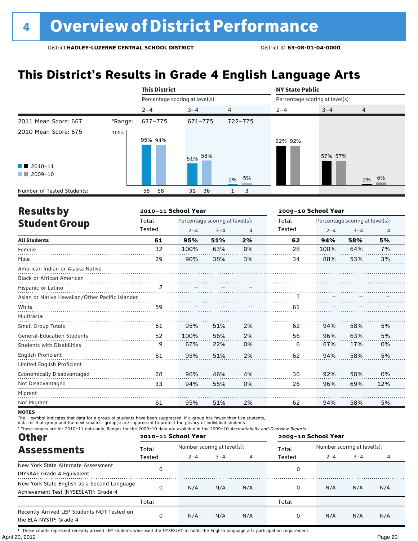## **This District's Results in Grade 4 English Language Arts**

|                                                    |         | <b>This District</b>            |          |                                 | <b>NY State Public</b> |         |                |  |
|----------------------------------------------------|---------|---------------------------------|----------|---------------------------------|------------------------|---------|----------------|--|
|                                                    |         | Percentage scoring at level(s): |          | Percentage scoring at level(s): |                        |         |                |  |
|                                                    |         | $2 - 4$                         | $3 - 4$  | $\overline{4}$                  | $2 - 4$                | $3 - 4$ | $\overline{4}$ |  |
| 2011 Mean Score: 667                               | *Range: | 637-775                         | 671-775  | 722-775                         |                        |         |                |  |
| 2010 Mean Score: 675                               | 100%    | 95% 94%                         | 51% 58%  |                                 | 92% 92%                | 57% 57% |                |  |
| $\blacksquare$ 2010-11<br><b>The Co</b><br>2009-10 |         |                                 |          | 2% 5%                           |                        |         | 2% 6%          |  |
| Number of Tested Students:                         |         | 58<br>58                        | 31<br>36 | 3<br>1                          |                        |         |                |  |

| <b>Results by</b>                               |                | 2010-11 School Year |                                 |    | 2009-10 School Year |                                 |         |                |  |  |  |
|-------------------------------------------------|----------------|---------------------|---------------------------------|----|---------------------|---------------------------------|---------|----------------|--|--|--|
| <b>Student Group</b>                            | Total          |                     | Percentage scoring at level(s): |    | Total               | Percentage scoring at level(s): |         |                |  |  |  |
|                                                 | Tested         | $2 - 4$             | $3 - 4$                         | 4  | <b>Tested</b>       | $2 - 4$                         | $3 - 4$ | $\overline{4}$ |  |  |  |
| <b>All Students</b>                             | 61             | 95%                 | 51%                             | 2% | 62                  | 94%                             | 58%     | 5%             |  |  |  |
| Female                                          | 32             | 100%                | 63%                             | 0% | 28                  | 100%                            | 64%     | 7%             |  |  |  |
| Male                                            | 29             | 90%                 | 38%                             | 3% | 34                  | 88%                             | 53%     | 3%             |  |  |  |
| American Indian or Alaska Native                |                |                     |                                 |    |                     |                                 |         |                |  |  |  |
| <b>Black or African American</b>                |                |                     |                                 |    |                     |                                 |         |                |  |  |  |
| Hispanic or Latino                              | $\overline{2}$ |                     |                                 |    |                     |                                 |         |                |  |  |  |
| Asian or Native Hawaiian/Other Pacific Islander |                |                     |                                 |    |                     |                                 |         |                |  |  |  |
| White                                           | 59             |                     |                                 |    | 61                  |                                 |         |                |  |  |  |
| Multiracial                                     |                |                     |                                 |    |                     |                                 |         |                |  |  |  |
| Small Group Totals                              | 61             | 95%                 | 51%                             | 2% | 62                  | 94%                             | 58%     | 5%             |  |  |  |
| <b>General-Education Students</b>               | 52             | 100%                | 56%                             | 2% | 56                  | 96%                             | 63%     | 5%             |  |  |  |
| <b>Students with Disabilities</b>               | 9              | 67%                 | 22%                             | 0% | 6                   | 67%                             | 17%     | 0%             |  |  |  |
| English Proficient                              | 61             | 95%                 | 51%                             | 2% | 62                  | 94%                             | 58%     | 5%             |  |  |  |
| Limited English Proficient                      |                |                     |                                 |    |                     |                                 |         |                |  |  |  |
| Economically Disadvantaged                      | 28             | 96%                 | 46%                             | 4% | 36                  | 92%                             | 50%     | 0%             |  |  |  |
| Not Disadvantaged                               | 33             | 94%                 | 55%                             | 0% | 26                  | 96%                             | 69%     | 12%            |  |  |  |
| Migrant                                         |                |                     |                                 |    |                     |                                 |         |                |  |  |  |
| Not Migrant                                     | 61             | 95%                 | 51%                             | 2% | 62                  | 94%                             | 58%     | 5%             |  |  |  |

**NOTES** 

The – symbol indicates that data for a group of students have been suppressed. If a group has fewer than five students,

data for that group and the next smallest group(s) are suppressed to protect the privacy of individual students.

\* These ranges are for 2010–11 data only. Ranges for the 2009–10 data are available in the 2009–10 Accountability and Overview Reports.

| <b>Other</b>                                                                                      | 2010-11 School Year |                             |         |     | 2009-10 School Year                  |         |         |     |  |
|---------------------------------------------------------------------------------------------------|---------------------|-----------------------------|---------|-----|--------------------------------------|---------|---------|-----|--|
| <b>Assessments</b>                                                                                | Total               | Number scoring at level(s): |         |     | Number scoring at level(s):<br>Total |         |         |     |  |
|                                                                                                   | Tested              | $2 - 4$                     | $3 - 4$ |     | Tested                               | $2 - 4$ | $3 - 4$ |     |  |
| New York State Alternate Assessment<br>(NYSAA): Grade 4 Equivalent                                |                     |                             |         |     | 0                                    |         |         |     |  |
| New York State English as a Second Language<br>Achievement Test (NYSESLAT) <sup>+</sup> : Grade 4 | $\Omega$            | N/A                         | N/A     | N/A | 0                                    | N/A     | N/A     | N/A |  |
|                                                                                                   | Total               |                             |         |     | Total                                |         |         |     |  |
| Recently Arrived LEP Students NOT Tested on<br>the ELA NYSTP: Grade 4                             | $\Omega$            | N/A                         | N/A     | N/A | 0                                    | N/A     | N/A     | N/A |  |

April 20, 2012 Page 20 † These counts represent recently arrived LEP students who used the NYSESLAT to fulfill the English language arts participation requirement.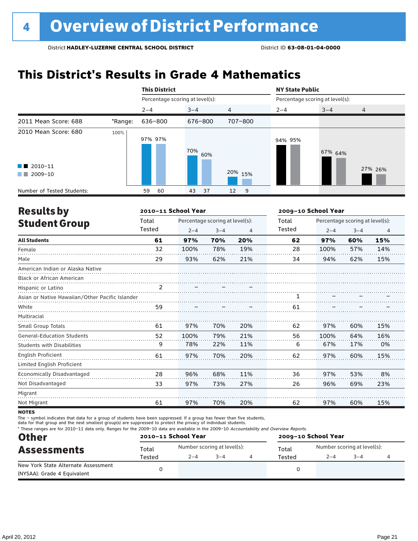## **This District's Results in Grade 4 Mathematics**

|                                                    |         | <b>This District</b>            |            |         | <b>NY State Public</b>          |         |                |  |  |
|----------------------------------------------------|---------|---------------------------------|------------|---------|---------------------------------|---------|----------------|--|--|
|                                                    |         | Percentage scoring at level(s): |            |         | Percentage scoring at level(s): |         |                |  |  |
|                                                    |         | $2 - 4$                         | $3 - 4$    | 4       | $2 - 4$                         | $3 - 4$ | $\overline{4}$ |  |  |
| 2011 Mean Score: 688                               | *Range: | 636-800                         | 676-800    | 707-800 |                                 |         |                |  |  |
| 2010 Mean Score: 680                               | 100%    | 97% 97%                         | 70%<br>60% |         | 94% 95%                         | 67% 64% |                |  |  |
| $\blacksquare$ 2010-11<br>2009-10<br><b>The Co</b> |         |                                 |            | 20% 15% |                                 |         | 27% 26%        |  |  |
| Number of Tested Students:                         |         | 60<br>59                        | 43<br>37   | 12<br>9 |                                 |         |                |  |  |

| <b>Results by</b>                               |                | 2010-11 School Year |                                 |     | 2009-10 School Year |         |                                 |                |  |
|-------------------------------------------------|----------------|---------------------|---------------------------------|-----|---------------------|---------|---------------------------------|----------------|--|
| <b>Student Group</b>                            | Total          |                     | Percentage scoring at level(s): |     | Total               |         | Percentage scoring at level(s): |                |  |
|                                                 | Tested         | $2 - 4$             | $3 - 4$                         | 4   | Tested              | $2 - 4$ | $3 - 4$                         | $\overline{4}$ |  |
| <b>All Students</b>                             | 61             | 97%                 | 70%                             | 20% | 62                  | 97%     | 60%                             | 15%            |  |
| Female                                          | 32             | 100%                | 78%                             | 19% | 28                  | 100%    | 57%                             | 14%            |  |
| Male                                            | 29             | 93%                 | 62%                             | 21% | 34                  | 94%     | 62%                             | 15%            |  |
| American Indian or Alaska Native                |                |                     |                                 |     |                     |         |                                 |                |  |
| <b>Black or African American</b>                |                |                     |                                 |     |                     |         |                                 |                |  |
| Hispanic or Latino                              | $\overline{2}$ |                     |                                 |     |                     |         |                                 |                |  |
| Asian or Native Hawaiian/Other Pacific Islander |                |                     |                                 |     |                     |         |                                 |                |  |
| White                                           | 59             |                     |                                 |     | 61                  |         |                                 |                |  |
| Multiracial                                     |                |                     |                                 |     |                     |         |                                 |                |  |
| Small Group Totals                              | 61             | 97%                 | 70%                             | 20% | 62                  | 97%     | 60%                             | 15%            |  |
| <b>General-Education Students</b>               | 52             | 100%                | 79%                             | 21% | 56                  | 100%    | 64%                             | 16%            |  |
| <b>Students with Disabilities</b>               | 9              | 78%                 | 22%                             | 11% | 6                   | 67%     | 17%                             | 0%             |  |
| <b>English Proficient</b>                       | 61             | 97%                 | 70%                             | 20% | 62                  | 97%     | 60%                             | 15%            |  |
| Limited English Proficient                      |                |                     |                                 |     |                     |         |                                 |                |  |
| Economically Disadvantaged                      | 28             | 96%                 | 68%                             | 11% | 36                  | 97%     | 53%                             | 8%             |  |
| Not Disadvantaged                               | 33             | 97%                 | 73%                             | 27% | 26                  | 96%     | 69%                             | 23%            |  |
| Migrant                                         |                |                     |                                 |     |                     |         |                                 |                |  |
| Not Migrant                                     | 61             | 97%                 | 70%                             | 20% | 62                  | 97%     | 60%                             | 15%            |  |

**NOTES** 

The – symbol indicates that data for a group of students have been suppressed. If a group has fewer than five students,<br>data for that group and the next smallest group(s) are suppressed to protect the privacy of individual

\* These ranges are for 2010–11 data only. Ranges for the 2009–10 data are available in the 2009–10 Accountability and Overview Reports.

| <b>Other</b>                        |        | 2010-11 School Year<br>2009-10 School Year |         |  |        |                             |         |  |  |
|-------------------------------------|--------|--------------------------------------------|---------|--|--------|-----------------------------|---------|--|--|
| <b>Assessments</b>                  | Total  | Number scoring at level(s):                |         |  | Total  | Number scoring at level(s): |         |  |  |
|                                     | Tested | $2 - 4$                                    | $3 - 4$ |  | Tested | $2 - 4$                     | $3 - 4$ |  |  |
| New York State Alternate Assessment |        |                                            |         |  |        |                             |         |  |  |
| (NYSAA): Grade 4 Equivalent         |        |                                            |         |  |        |                             |         |  |  |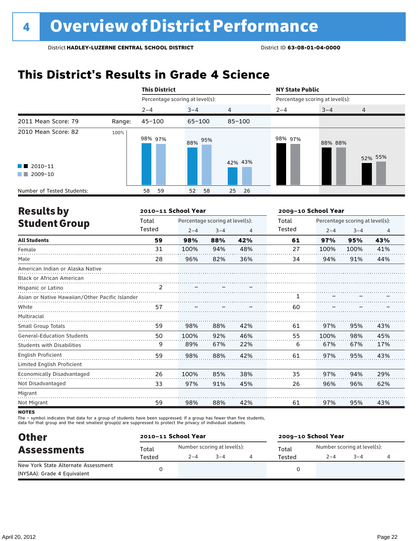## **This District's Results in Grade 4 Science**

|                                                                         |        | <b>This District</b>            |            |                |                                 | <b>NY State Public</b> |                |  |  |
|-------------------------------------------------------------------------|--------|---------------------------------|------------|----------------|---------------------------------|------------------------|----------------|--|--|
|                                                                         |        | Percentage scoring at level(s): |            |                | Percentage scoring at level(s): |                        |                |  |  |
|                                                                         |        | $2 - 4$                         | $3 - 4$    | $\overline{4}$ | $2 - 4$                         | $3 - 4$                | $\overline{4}$ |  |  |
| 2011 Mean Score: 79                                                     | Range: | $45 - 100$                      | $65 - 100$ | $85 - 100$     |                                 |                        |                |  |  |
| 2010 Mean Score: 82<br>$\blacksquare$ 2010-11<br>2009-10<br>a kacamatan | 100%   | 98% 97%                         | 95%<br>88% | 42% 43%        | 98% 97%                         | 88% 88%                | 52% 55%        |  |  |
| Number of Tested Students:                                              |        | 59<br>58                        | 52<br>58   | 25<br>26       |                                 |                        |                |  |  |

| <b>Results by</b>                               |                | 2010-11 School Year |                                 |     | 2009-10 School Year |         |                                 |                |  |  |
|-------------------------------------------------|----------------|---------------------|---------------------------------|-----|---------------------|---------|---------------------------------|----------------|--|--|
| <b>Student Group</b>                            | Total          |                     | Percentage scoring at level(s): |     | Total               |         | Percentage scoring at level(s): |                |  |  |
|                                                 | Tested         | $2 - 4$             | $3 - 4$                         | 4   | Tested              | $2 - 4$ | $3 - 4$                         | $\overline{4}$ |  |  |
| <b>All Students</b>                             | 59             | 98%                 | 88%                             | 42% | 61                  | 97%     | 95%                             | 43%            |  |  |
| Female                                          | 31             | 100%                | 94%                             | 48% | 27                  | 100%    | 100%                            | 41%            |  |  |
| Male                                            | 28             | 96%                 | 82%                             | 36% | 34                  | 94%     | 91%                             | 44%            |  |  |
| American Indian or Alaska Native                |                |                     |                                 |     |                     |         |                                 |                |  |  |
| <b>Black or African American</b>                |                |                     |                                 |     |                     |         |                                 |                |  |  |
| Hispanic or Latino                              | $\overline{2}$ |                     |                                 |     |                     |         |                                 |                |  |  |
| Asian or Native Hawaiian/Other Pacific Islander |                |                     |                                 |     |                     |         |                                 |                |  |  |
| White                                           | 57             |                     |                                 |     | 60                  |         |                                 |                |  |  |
| Multiracial                                     |                |                     |                                 |     |                     |         |                                 |                |  |  |
| Small Group Totals                              | 59             | 98%                 | 88%                             | 42% | 61                  | 97%     | 95%                             | 43%            |  |  |
| <b>General-Education Students</b>               | 50             | 100%                | 92%                             | 46% | 55                  | 100%    | 98%                             | 45%            |  |  |
| <b>Students with Disabilities</b>               | 9              | 89%                 | 67%                             | 22% | 6                   | 67%     | 67%                             | 17%            |  |  |
| English Proficient                              | 59             | 98%                 | 88%                             | 42% | 61                  | 97%     | 95%                             | 43%            |  |  |
| Limited English Proficient                      |                |                     |                                 |     |                     |         |                                 |                |  |  |
| Economically Disadvantaged                      | 26             | 100%                | 85%                             | 38% | 35                  | 97%     | 94%                             | 29%            |  |  |
| Not Disadvantaged                               | 33             | 97%                 | 91%                             | 45% | 26                  | 96%     | 96%                             | 62%            |  |  |
| Migrant                                         |                |                     |                                 |     |                     |         |                                 |                |  |  |
| Not Migrant                                     | 59             | 98%                 | 88%                             | 42% | 61                  | 97%     | 95%                             | 43%            |  |  |
|                                                 |                |                     |                                 |     |                     |         |                                 |                |  |  |

**NOTES** 

The – symbol indicates that data for a group of students have been suppressed. If a group has fewer than five students,<br>data for that group and the next smallest group(s) are suppressed to protect the privacy of individual

| <b>Other</b>                        |        | 2010-11 School Year |                             | 2009-10 School Year |                             |         |  |  |
|-------------------------------------|--------|---------------------|-----------------------------|---------------------|-----------------------------|---------|--|--|
| <b>Assessments</b>                  | Total  |                     | Number scoring at level(s): | Total               | Number scoring at level(s): |         |  |  |
|                                     | Tested | $2 - 4$             | $3 - 4$                     | Tested              | $2 - 4$                     | $3 - 4$ |  |  |
| New York State Alternate Assessment |        |                     |                             |                     |                             |         |  |  |
| (NYSAA): Grade 4 Equivalent         |        |                     |                             |                     |                             |         |  |  |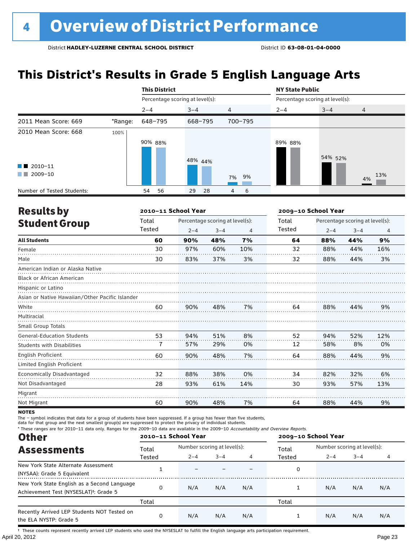## **This District's Results in Grade 5 English Language Arts**

|                                                                          |         | <b>This District</b>            |          |                | <b>NY State Public</b>          |         |                |  |
|--------------------------------------------------------------------------|---------|---------------------------------|----------|----------------|---------------------------------|---------|----------------|--|
|                                                                          |         | Percentage scoring at level(s): |          |                | Percentage scoring at level(s): |         |                |  |
|                                                                          |         | $2 - 4$                         | $3 - 4$  | $\overline{4}$ | $2 - 4$                         | $3 - 4$ | $\overline{4}$ |  |
| 2011 Mean Score: 669                                                     | *Range: | 648-795                         | 668-795  | 700-795        |                                 |         |                |  |
| 2010 Mean Score: 668<br>$\blacksquare$ 2010-11<br>2009-10<br>a kacamatan | 100%    | 90% 88%                         | 48% 44%  | 7% 9%          | 89% 88%                         | 54% 52% | 13%<br>4%      |  |
| Number of Tested Students:                                               |         | 56<br>54                        | 29<br>28 | 6<br>4         |                                 |         |                |  |

| <b>Results by</b>                               |        | 2010-11 School Year |                                 |                | 2009-10 School Year |                                 |         |                |  |  |
|-------------------------------------------------|--------|---------------------|---------------------------------|----------------|---------------------|---------------------------------|---------|----------------|--|--|
| <b>Student Group</b>                            | Total  |                     | Percentage scoring at level(s): |                | Total               | Percentage scoring at level(s): |         |                |  |  |
|                                                 | Tested | $2 - 4$             | $3 - 4$                         | $\overline{4}$ | Tested              | $2 - 4$                         | $3 - 4$ | $\overline{4}$ |  |  |
| <b>All Students</b>                             | 60     | 90%                 | 48%                             | 7%             | 64                  | 88%                             | 44%     | 9%             |  |  |
| Female                                          | 30     | 97%                 | 60%                             | 10%            | 32                  | 88%                             | 44%     | 16%            |  |  |
| Male                                            | 30     | 83%                 | 37%                             | 3%             | 32                  | 88%                             | 44%     | 3%             |  |  |
| American Indian or Alaska Native                |        |                     |                                 |                |                     |                                 |         |                |  |  |
| <b>Black or African American</b>                |        |                     |                                 |                |                     |                                 |         |                |  |  |
| Hispanic or Latino                              |        |                     |                                 |                |                     |                                 |         |                |  |  |
| Asian or Native Hawaiian/Other Pacific Islander |        |                     |                                 |                |                     |                                 |         |                |  |  |
| White                                           | 60     | 90%                 | 48%                             | 7%             | 64                  | 88%                             | 44%     | 9%             |  |  |
| Multiracial                                     |        |                     |                                 |                |                     |                                 |         |                |  |  |
| <b>Small Group Totals</b>                       |        |                     |                                 |                |                     |                                 |         |                |  |  |
| <b>General-Education Students</b>               | 53     | 94%                 | 51%                             | 8%             | 52                  | 94%                             | 52%     | 12%            |  |  |
| <b>Students with Disabilities</b>               | 7      | 57%                 | 29%                             | 0%             | 12                  | 58%                             | 8%      | 0%             |  |  |
| English Proficient                              | 60     | 90%                 | 48%                             | 7%             | 64                  | 88%                             | 44%     | 9%             |  |  |
| Limited English Proficient                      |        |                     |                                 |                |                     |                                 |         |                |  |  |
| Economically Disadvantaged                      | 32     | 88%                 | 38%                             | 0%             | 34                  | 82%                             | 32%     | 6%             |  |  |
| Not Disadvantaged                               | 28     | 93%                 | 61%                             | 14%            | 30                  | 93%                             | 57%     | 13%            |  |  |
| Migrant                                         |        |                     |                                 |                |                     |                                 |         |                |  |  |
| Not Migrant                                     | 60     | 90%                 | 48%                             | 7%             | 64                  | 88%                             | 44%     | 9%             |  |  |

**NOTES** 

The – symbol indicates that data for a group of students have been suppressed. If a group has fewer than five students,

data for that group and the next smallest group(s) are suppressed to protect the privacy of individual students.

\* These ranges are for 2010–11 data only. Ranges for the 2009–10 data are available in the 2009–10 Accountability and Overview Reports.

| <b>Other</b>                                                                                      | 2010-11 School Year |                             |         |     | 2009-10 School Year |                             |         |     |  |
|---------------------------------------------------------------------------------------------------|---------------------|-----------------------------|---------|-----|---------------------|-----------------------------|---------|-----|--|
| <b>Assessments</b>                                                                                | Total               | Number scoring at level(s): |         |     | Total               | Number scoring at level(s): |         |     |  |
|                                                                                                   | Tested              | $2 - 4$                     | $3 - 4$ | 4   | Tested              | $2 - 4$                     | $3 - 4$ |     |  |
| New York State Alternate Assessment<br>(NYSAA): Grade 5 Equivalent                                |                     |                             |         |     | 0                   |                             |         |     |  |
| New York State English as a Second Language<br>Achievement Test (NYSESLAT) <sup>†</sup> : Grade 5 |                     | N/A                         | N/A     | N/A |                     | N/A                         | N/A     | N/A |  |
|                                                                                                   | Total               |                             |         |     | Total               |                             |         |     |  |
| Recently Arrived LEP Students NOT Tested on<br>the ELA NYSTP: Grade 5                             |                     | N/A                         | N/A     | N/A |                     | N/A                         | N/A     | N/A |  |

April 20, 2012 Page 23 † These counts represent recently arrived LEP students who used the NYSESLAT to fulfill the English language arts participation requirement.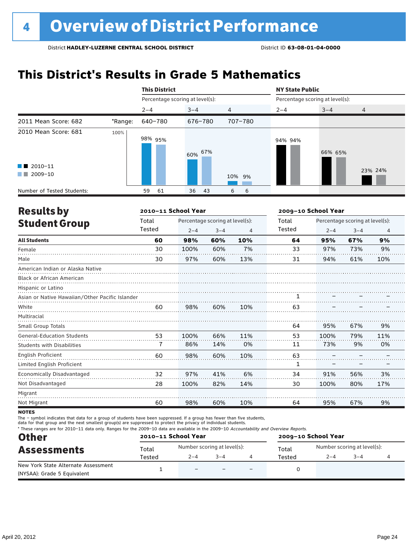## **This District's Results in Grade 5 Mathematics**

|                                                |         | <b>This District</b>            |            |         |                                 | <b>NY State Public</b> |                |  |  |
|------------------------------------------------|---------|---------------------------------|------------|---------|---------------------------------|------------------------|----------------|--|--|
|                                                |         | Percentage scoring at level(s): |            |         | Percentage scoring at level(s): |                        |                |  |  |
|                                                |         | $2 - 4$                         | $3 - 4$    | 4       | $2 - 4$                         | $3 - 4$                | $\overline{4}$ |  |  |
| 2011 Mean Score: 682                           | *Range: | 640-780                         | 676-780    | 707-780 |                                 |                        |                |  |  |
| 2010 Mean Score: 681<br>$\blacksquare$ 2010-11 | 100%    | 98% 95%                         | 67%<br>60% |         | 94% 94%                         | 66% 65%                |                |  |  |
| 2009-10<br>a kacamatan                         |         |                                 |            | 10% 9%  |                                 |                        | 23% 24%        |  |  |
| Number of Tested Students:                     |         | 61<br>59                        | 43<br>36   | 6<br>6  |                                 |                        |                |  |  |

| <b>Results by</b>                               |        | 2010-11 School Year |                                 |                | 2009-10 School Year |                                 |         |                |  |
|-------------------------------------------------|--------|---------------------|---------------------------------|----------------|---------------------|---------------------------------|---------|----------------|--|
| <b>Student Group</b>                            | Total  |                     | Percentage scoring at level(s): |                | Total               | Percentage scoring at level(s): |         |                |  |
|                                                 | Tested | $2 - 4$             | $3 - 4$                         | $\overline{4}$ | Tested              | $2 - 4$                         | $3 - 4$ | $\overline{4}$ |  |
| <b>All Students</b>                             | 60     | 98%                 | 60%                             | 10%            | 64                  | 95%                             | 67%     | 9%             |  |
| Female                                          | 30     | 100%                | 60%                             | 7%             | 33                  | 97%                             | 73%     | 9%             |  |
| Male                                            | 30     | 97%                 | 60%                             | 13%            | 31                  | 94%                             | 61%     | 10%            |  |
| American Indian or Alaska Native                |        |                     |                                 |                |                     |                                 |         |                |  |
| <b>Black or African American</b>                |        |                     |                                 |                |                     |                                 |         |                |  |
| Hispanic or Latino                              |        |                     |                                 |                |                     |                                 |         |                |  |
| Asian or Native Hawaiian/Other Pacific Islander |        |                     |                                 |                |                     |                                 |         |                |  |
| White                                           | 60     | 98%                 | 60%                             | 10%            | 63                  |                                 |         |                |  |
| Multiracial                                     |        |                     |                                 |                |                     |                                 |         |                |  |
| <b>Small Group Totals</b>                       |        |                     |                                 |                | 64                  | 95%                             | 67%     | 9%             |  |
| <b>General-Education Students</b>               | 53     | 100%                | 66%                             | 11%            | 53                  | 100%                            | 79%     | 11%            |  |
| <b>Students with Disabilities</b>               | 7      | 86%                 | 14%                             | 0%             | 11                  | 73%                             | 9%      | 0%             |  |
| English Proficient                              | 60     | 98%                 | 60%                             | 10%            | 63                  |                                 |         |                |  |
| Limited English Proficient                      |        |                     |                                 |                | 1                   |                                 |         |                |  |
| Economically Disadvantaged                      | 32     | 97%                 | 41%                             | 6%             | 34                  | 91%                             | 56%     | 3%             |  |
| Not Disadvantaged                               | 28     | 100%                | 82%                             | 14%            | 30                  | 100%                            | 80%     | 17%            |  |
| Migrant                                         |        |                     |                                 |                |                     |                                 |         |                |  |
| Not Migrant                                     | 60     | 98%                 | 60%                             | 10%            | 64                  | 95%                             | 67%     | 9%             |  |
|                                                 |        |                     |                                 |                |                     |                                 |         |                |  |

**NOTES** 

The – symbol indicates that data for a group of students have been suppressed. If a group has fewer than five students,

data for that group and the next smallest group(s) are suppressed to protect the privacy of individual students.

\* These ranges are for 2010–11 data only. Ranges for the 2009–10 data are available in the 2009–10 Accountability and Overview Reports.

| <b>Other</b>                        | 2010-11 School Year |                             |         |                          | 2009-10 School Year |                             |         |  |  |
|-------------------------------------|---------------------|-----------------------------|---------|--------------------------|---------------------|-----------------------------|---------|--|--|
| <b>Assessments</b>                  | Total               | Number scoring at level(s): |         |                          | Total               | Number scoring at level(s): |         |  |  |
|                                     | Tested              | $2 - 4$                     | $3 - 4$ |                          | Tested              | $2 - 4$                     | $3 - 4$ |  |  |
| New York State Alternate Assessment |                     | $\overline{\phantom{0}}$    |         | $\overline{\phantom{0}}$ |                     |                             |         |  |  |
| (NYSAA): Grade 5 Equivalent         |                     |                             |         |                          |                     |                             |         |  |  |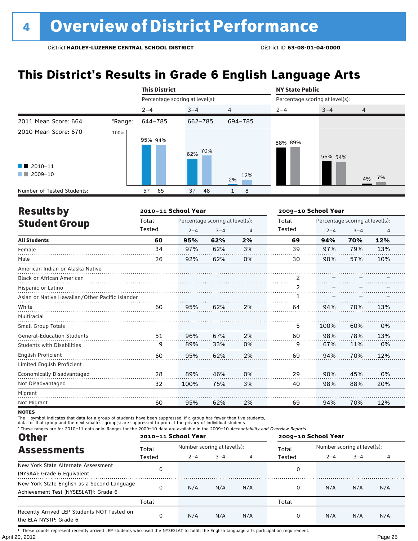## **This District's Results in Grade 6 English Language Arts**

|                            |         | <b>This District</b>            |            |                | <b>NY State Public</b> |                                 |                |  |  |
|----------------------------|---------|---------------------------------|------------|----------------|------------------------|---------------------------------|----------------|--|--|
|                            |         | Percentage scoring at level(s): |            |                |                        | Percentage scoring at level(s): |                |  |  |
|                            |         | $2 - 4$                         | $3 - 4$    | $\overline{4}$ | $2 - 4$                | $3 - 4$                         | $\overline{4}$ |  |  |
| 2011 Mean Score: 664       | *Range: | 644-785                         | 662-785    | 694-785        |                        |                                 |                |  |  |
| 2010 Mean Score: 670       | 100%    | 95% 94%                         | 70%<br>62% |                | 88% 89%                | 56% 54%                         |                |  |  |
| $\blacksquare$ 2010-11     |         |                                 |            |                |                        |                                 |                |  |  |
| 2009-10<br><b>The Co</b>   |         |                                 |            | 12%<br>2%      |                        |                                 | 4% 7%          |  |  |
| Number of Tested Students: |         | 65<br>57                        | 48<br>37   | 8              |                        |                                 |                |  |  |

| <b>Results by</b>                               |        | 2010-11 School Year |                                 |    | 2009-10 School Year |         |                                 |     |  |
|-------------------------------------------------|--------|---------------------|---------------------------------|----|---------------------|---------|---------------------------------|-----|--|
| <b>Student Group</b>                            | Total  |                     | Percentage scoring at level(s): |    | Total               |         | Percentage scoring at level(s): |     |  |
|                                                 | Tested | $2 - 4$             | $3 - 4$                         | 4  | <b>Tested</b>       | $2 - 4$ | $3 - 4$                         | 4   |  |
| <b>All Students</b>                             | 60     | 95%                 | 62%                             | 2% | 69                  | 94%     | 70%                             | 12% |  |
| Female                                          | 34     | 97%                 | 62%                             | 3% | 39                  | 97%     | 79%                             | 13% |  |
| Male                                            | 26     | 92%                 | 62%                             | 0% | 30                  | 90%     | 57%                             | 10% |  |
| American Indian or Alaska Native                |        |                     |                                 |    |                     |         |                                 |     |  |
| <b>Black or African American</b>                |        |                     |                                 |    | $\overline{2}$      |         |                                 |     |  |
| Hispanic or Latino                              |        |                     |                                 |    | 2                   |         |                                 |     |  |
| Asian or Native Hawaiian/Other Pacific Islander |        |                     |                                 |    | 1                   |         |                                 |     |  |
| White                                           | 60     | 95%                 | 62%                             | 2% | 64                  | 94%     | 70%                             | 13% |  |
| Multiracial                                     |        |                     |                                 |    |                     |         |                                 |     |  |
| <b>Small Group Totals</b>                       |        |                     |                                 |    | 5                   | 100%    | 60%                             | 0%  |  |
| <b>General-Education Students</b>               | 51     | 96%                 | 67%                             | 2% | 60                  | 98%     | 78%                             | 13% |  |
| <b>Students with Disabilities</b>               | 9      | 89%                 | 33%                             | 0% | 9                   | 67%     | 11%                             | 0%  |  |
| English Proficient                              | 60     | 95%                 | 62%                             | 2% | 69                  | 94%     | 70%                             | 12% |  |
| Limited English Proficient                      |        |                     |                                 |    |                     |         |                                 |     |  |
| Economically Disadvantaged                      | 28     | 89%                 | 46%                             | 0% | 29                  | 90%     | 45%                             | 0%  |  |
| Not Disadvantaged                               | 32     | 100%                | 75%                             | 3% | 40                  | 98%     | 88%                             | 20% |  |
| Migrant                                         |        |                     |                                 |    |                     |         |                                 |     |  |
| Not Migrant                                     | 60     | 95%                 | 62%                             | 2% | 69                  | 94%     | 70%                             | 12% |  |

**NOTES** 

The – symbol indicates that data for a group of students have been suppressed. If a group has fewer than five students,

data for that group and the next smallest group(s) are suppressed to protect the privacy of individual students.

\* These ranges are for 2010–11 data only. Ranges for the 2009–10 data are available in the 2009–10 Accountability and Overview Reports.

| <b>Other</b>                                                                                      | 2010-11 School Year |                             |         |     | 2009-10 School Year |                             |         |     |
|---------------------------------------------------------------------------------------------------|---------------------|-----------------------------|---------|-----|---------------------|-----------------------------|---------|-----|
| <b>Assessments</b>                                                                                | Total               | Number scoring at level(s): |         |     | Total               | Number scoring at level(s): |         |     |
|                                                                                                   | Tested              | $2 - 4$                     | $3 - 4$ |     | Tested              | $2 - 4$                     | $3 - 4$ |     |
| New York State Alternate Assessment<br>(NYSAA): Grade 6 Equivalent                                |                     |                             |         |     | 0                   |                             |         |     |
| New York State English as a Second Language<br>Achievement Test (NYSESLAT) <sup>†</sup> : Grade 6 | $\Omega$            | N/A                         | N/A     | N/A | 0                   | N/A                         | N/A     | N/A |
|                                                                                                   | Total               |                             |         |     | Total               |                             |         |     |
| Recently Arrived LEP Students NOT Tested on<br>the ELA NYSTP: Grade 6                             | $\Omega$            | N/A                         | N/A     | N/A | 0                   | N/A                         | N/A     | N/A |

April 20, 2012 Page 25 † These counts represent recently arrived LEP students who used the NYSESLAT to fulfill the English language arts participation requirement.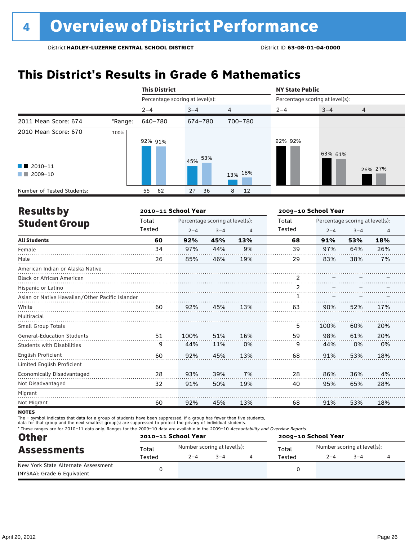## **This District's Results in Grade 6 Mathematics**

|                                                                            |         | <b>This District</b>            |            |         | <b>NY State Public</b> |                                 |                |  |  |
|----------------------------------------------------------------------------|---------|---------------------------------|------------|---------|------------------------|---------------------------------|----------------|--|--|
|                                                                            |         | Percentage scoring at level(s): |            |         |                        | Percentage scoring at level(s): |                |  |  |
|                                                                            |         | $2 - 4$                         | $3 - 4$    | 4       | $2 - 4$                | $3 - 4$                         | $\overline{4}$ |  |  |
| 2011 Mean Score: 674                                                       | *Range: | 640-780                         | 674-780    | 700-780 |                        |                                 |                |  |  |
| 2010 Mean Score: 670<br>$\blacksquare$ 2010-11<br>2009-10<br><b>The Co</b> | 100%    | 92% 91%                         | 53%<br>45% | 13% 18% | 92% 92%                | 63% 61%                         | 26% 27%        |  |  |
| Number of Tested Students:                                                 |         | 62<br>55                        | 36<br>27   | 8<br>12 |                        |                                 |                |  |  |

| <b>Results by</b>                               |        | 2010-11 School Year |                                 |                | 2009-10 School Year |         |                                 |                |  |
|-------------------------------------------------|--------|---------------------|---------------------------------|----------------|---------------------|---------|---------------------------------|----------------|--|
| <b>Student Group</b>                            | Total  |                     | Percentage scoring at level(s): |                | Total               |         | Percentage scoring at level(s): |                |  |
|                                                 | Tested | $2 - 4$             | $3 - 4$                         | $\overline{4}$ | Tested              | $2 - 4$ | $3 - 4$                         | $\overline{4}$ |  |
| <b>All Students</b>                             | 60     | 92%                 | 45%                             | 13%            | 68                  | 91%     | 53%                             | 18%            |  |
| Female                                          | 34     | 97%                 | 44%                             | 9%             | 39                  | 97%     | 64%                             | 26%            |  |
| Male                                            | 26     | 85%                 | 46%                             | 19%            | 29                  | 83%     | 38%                             | 7%             |  |
| American Indian or Alaska Native                |        |                     |                                 |                |                     |         |                                 |                |  |
| <b>Black or African American</b>                |        |                     |                                 |                | 2                   |         |                                 |                |  |
| Hispanic or Latino                              |        |                     |                                 |                |                     |         |                                 |                |  |
| Asian or Native Hawaiian/Other Pacific Islander |        |                     |                                 |                |                     |         |                                 |                |  |
| White                                           | 60     | 92%                 | 45%                             | 13%            | 63                  | 90%     | 52%                             | 17%            |  |
| Multiracial                                     |        |                     |                                 |                |                     |         |                                 |                |  |
| <b>Small Group Totals</b>                       |        |                     |                                 |                | 5                   | 100%    | 60%                             | 20%            |  |
| <b>General-Education Students</b>               | 51     | 100%                | 51%                             | 16%            | 59                  | 98%     | 61%                             | 20%            |  |
| <b>Students with Disabilities</b>               | 9      | 44%                 | 11%                             | 0%             | 9                   | 44%     | 0%                              | 0%             |  |
| English Proficient                              | 60     | 92%                 | 45%                             | 13%            | 68                  | 91%     | 53%                             | 18%            |  |
| Limited English Proficient                      |        |                     |                                 |                |                     |         |                                 |                |  |
| Economically Disadvantaged                      | 28     | 93%                 | 39%                             | 7%             | 28                  | 86%     | 36%                             | 4%             |  |
| Not Disadvantaged                               | 32     | 91%                 | 50%                             | 19%            | 40                  | 95%     | 65%                             | 28%            |  |
| Migrant                                         |        |                     |                                 |                |                     |         |                                 |                |  |
| Not Migrant                                     | 60     | 92%                 | 45%                             | 13%            | 68                  | 91%     | 53%                             | 18%            |  |
|                                                 |        |                     |                                 |                |                     |         |                                 |                |  |

**NOTES** 

The – symbol indicates that data for a group of students have been suppressed. If a group has fewer than five students,

data for that group and the next smallest group(s) are suppressed to protect the privacy of individual students.

\* These ranges are for 2010–11 data only. Ranges for the 2009–10 data are available in the 2009–10 Accountability and Overview Reports.

| <b>Other</b>                        |        | 2010-11 School Year         |         | 2009-10 School Year |                                                   |  |  |  |
|-------------------------------------|--------|-----------------------------|---------|---------------------|---------------------------------------------------|--|--|--|
| <b>Assessments</b>                  | Total  | Number scoring at level(s): |         | Total               | Number scoring at level(s):<br>$2 - 4$<br>$3 - 4$ |  |  |  |
|                                     | Tested | $2 - 4$                     | $3 - 4$ | Tested              |                                                   |  |  |  |
| New York State Alternate Assessment |        |                             |         |                     |                                                   |  |  |  |
| (NYSAA): Grade 6 Equivalent         |        |                             |         |                     |                                                   |  |  |  |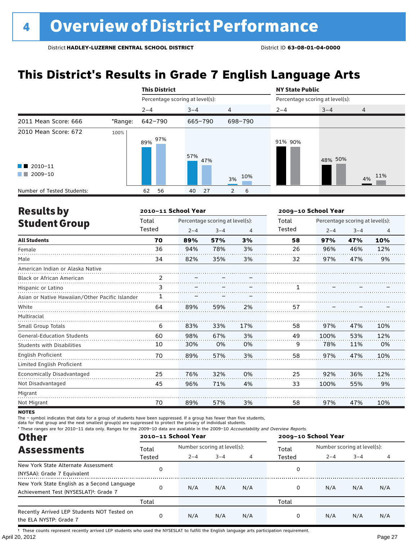## **This District's Results in Grade 7 English Language Arts**

|                                                                            |         | <b>This District</b>            |            |                | <b>NY State Public</b> |                                 |                |  |  |  |
|----------------------------------------------------------------------------|---------|---------------------------------|------------|----------------|------------------------|---------------------------------|----------------|--|--|--|
|                                                                            |         | Percentage scoring at level(s): |            |                |                        | Percentage scoring at level(s): |                |  |  |  |
|                                                                            |         | $2 - 4$                         | $3 - 4$    | $\overline{4}$ | $2 - 4$                | $3 - 4$                         | $\overline{4}$ |  |  |  |
| 2011 Mean Score: 666                                                       | *Range: | 642-790                         | 665-790    | 698-790        |                        |                                 |                |  |  |  |
| 2010 Mean Score: 672<br>$\blacksquare$ 2010-11<br>2009-10<br><b>The Co</b> | 100%    | 97%<br>89%                      | 57%<br>47% | 10%<br>3%      | 91% 90%                | 48% 50%                         | 4% 11%         |  |  |  |
| Number of Tested Students:                                                 |         | 56<br>62                        | 27<br>40   | 6<br>2         |                        |                                 |                |  |  |  |

| <b>Results by</b>                               |        | 2010-11 School Year |                                 |     |               | 2009-10 School Year             |         |     |  |  |
|-------------------------------------------------|--------|---------------------|---------------------------------|-----|---------------|---------------------------------|---------|-----|--|--|
| <b>Student Group</b>                            | Total  |                     | Percentage scoring at level(s): |     | Total         | Percentage scoring at level(s): |         |     |  |  |
|                                                 | Tested | $2 - 4$             | $3 - 4$                         | 4   | <b>Tested</b> | $2 - 4$                         | $3 - 4$ | 4   |  |  |
| <b>All Students</b>                             | 70     | 89%                 | 57%                             | 3%  | 58            | 97%                             | 47%     | 10% |  |  |
| Female                                          | 36     | 94%                 | 78%                             | 3%  | 26            | 96%                             | 46%     | 12% |  |  |
| Male                                            | 34     | 82%                 | 35%                             | 3%  | 32            | 97%                             | 47%     | 9%  |  |  |
| American Indian or Alaska Native                |        |                     |                                 |     |               |                                 |         |     |  |  |
| <b>Black or African American</b>                | 2      |                     |                                 |     |               |                                 |         |     |  |  |
| Hispanic or Latino                              | 3      |                     |                                 |     |               |                                 |         |     |  |  |
| Asian or Native Hawaiian/Other Pacific Islander |        |                     |                                 |     |               |                                 |         |     |  |  |
| White                                           | 64     | 89%                 | 59%                             | 2%  | 57            |                                 |         |     |  |  |
| Multiracial                                     |        |                     |                                 |     |               |                                 |         |     |  |  |
| <b>Small Group Totals</b>                       | 6      | 83%                 | 33%                             | 17% | 58            | 97%                             | 47%     | 10% |  |  |
| <b>General-Education Students</b>               | 60     | 98%                 | 67%                             | 3%  | 49            | 100%                            | 53%     | 12% |  |  |
| <b>Students with Disabilities</b>               | 10     | 30%                 | 0%                              | 0%  | 9             | 78%                             | 11%     | 0%  |  |  |
| English Proficient                              | 70     | 89%                 | 57%                             | 3%  | 58            | 97%                             | 47%     | 10% |  |  |
| Limited English Proficient                      |        |                     |                                 |     |               |                                 |         |     |  |  |
| Economically Disadvantaged                      | 25     | 76%                 | 32%                             | 0%  | 25            | 92%                             | 36%     | 12% |  |  |
| Not Disadvantaged                               | 45     | 96%                 | 71%                             | 4%  | 33            | 100%                            | 55%     | 9%  |  |  |
| Migrant                                         |        |                     |                                 |     |               |                                 |         |     |  |  |
| Not Migrant                                     | 70     | 89%                 | 57%                             | 3%  | 58            | 97%                             | 47%     | 10% |  |  |

**NOTES** 

The – symbol indicates that data for a group of students have been suppressed. If a group has fewer than five students,

data for that group and the next smallest group(s) are suppressed to protect the privacy of individual students.

\* These ranges are for 2010–11 data only. Ranges for the 2009–10 data are available in the 2009–10 Accountability and Overview Reports.

| <b>Other</b>                                                                                      | 2010-11 School Year |                             |         |     | 2009-10 School Year |                             |         |     |
|---------------------------------------------------------------------------------------------------|---------------------|-----------------------------|---------|-----|---------------------|-----------------------------|---------|-----|
| <b>Assessments</b>                                                                                | Total               | Number scoring at level(s): |         |     | Total               | Number scoring at level(s): |         |     |
|                                                                                                   | Tested              | $2 - 4$                     | $3 - 4$ |     | Tested              | $2 - 4$                     | $3 - 4$ |     |
| New York State Alternate Assessment<br>(NYSAA): Grade 7 Equivalent                                |                     |                             |         |     | 0                   |                             |         |     |
| New York State English as a Second Language<br>Achievement Test (NYSESLAT) <sup>t</sup> : Grade 7 |                     | N/A                         | N/A     | N/A | 0                   | N/A                         | N/A     | N/A |
|                                                                                                   | Total               |                             |         |     | Total               |                             |         |     |
| Recently Arrived LEP Students NOT Tested on<br>the ELA NYSTP: Grade 7                             |                     | N/A                         | N/A     | N/A | 0                   | N/A                         | N/A     | N/A |

April 20, 2012 Page 27 † These counts represent recently arrived LEP students who used the NYSESLAT to fulfill the English language arts participation requirement.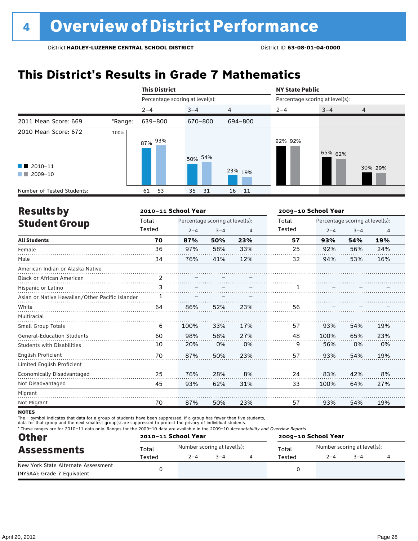## **This District's Results in Grade 7 Mathematics**

|                                                |         | <b>This District</b>            |           |            | <b>NY State Public</b>          |         |                |  |  |
|------------------------------------------------|---------|---------------------------------|-----------|------------|---------------------------------|---------|----------------|--|--|
|                                                |         | Percentage scoring at level(s): |           |            | Percentage scoring at level(s): |         |                |  |  |
|                                                |         | $2 - 4$                         | $3 - 4$   | 4          | $2 - 4$                         | $3 - 4$ | $\overline{4}$ |  |  |
| 2011 Mean Score: 669                           | *Range: | 639-800                         | 670-800   | 694-800    |                                 |         |                |  |  |
| 2010 Mean Score: 672<br>$\blacksquare$ 2010-11 | 100%    | 93%<br>87%                      | 50% 54%   |            | 92% 92%                         | 65% 62% | 30% 29%        |  |  |
| 2009-10<br><b>The Co</b>                       |         |                                 |           | 23% 19%    |                                 |         |                |  |  |
| Number of Tested Students:                     |         | 53<br>61                        | 35<br>-31 | 16<br>- 11 |                                 |         |                |  |  |

| <b>Results by</b>                               |                | 2010-11 School Year |                                 |     | 2009-10 School Year |                                 |         |                |
|-------------------------------------------------|----------------|---------------------|---------------------------------|-----|---------------------|---------------------------------|---------|----------------|
| <b>Student Group</b>                            | Total          |                     | Percentage scoring at level(s): |     | Total               | Percentage scoring at level(s): |         |                |
|                                                 | Tested         | $2 - 4$             | $3 - 4$                         | 4   | Tested              | $2 - 4$                         | $3 - 4$ | $\overline{4}$ |
| <b>All Students</b>                             | 70             | 87%                 | 50%                             | 23% | 57                  | 93%                             | 54%     | 19%            |
| Female                                          | 36             | 97%                 | 58%                             | 33% | 25                  | 92%                             | 56%     | 24%            |
| Male                                            | 34             | 76%                 | 41%                             | 12% | 32                  | 94%                             | 53%     | 16%            |
| American Indian or Alaska Native                |                |                     |                                 |     |                     |                                 |         |                |
| <b>Black or African American</b>                | $\overline{2}$ |                     |                                 |     |                     |                                 |         |                |
| Hispanic or Latino                              | 3              |                     |                                 |     |                     |                                 |         |                |
| Asian or Native Hawaiian/Other Pacific Islander | 1              |                     |                                 |     |                     |                                 |         |                |
| White                                           | 64             | 86%                 | 52%                             | 23% | 56                  |                                 |         |                |
| Multiracial                                     |                |                     |                                 |     |                     |                                 |         |                |
| Small Group Totals                              | 6              | 100%                | 33%                             | 17% | 57                  | 93%                             | 54%     | 19%            |
| <b>General-Education Students</b>               | 60             | 98%                 | 58%                             | 27% | 48                  | 100%                            | 65%     | 23%            |
| <b>Students with Disabilities</b>               | 10             | 20%                 | 0%                              | 0%  | 9                   | 56%                             | 0%      | 0%             |
| <b>English Proficient</b>                       | 70             | 87%                 | 50%                             | 23% | 57                  | 93%                             | 54%     | 19%            |
| Limited English Proficient                      |                |                     |                                 |     |                     |                                 |         |                |
| Economically Disadvantaged                      | 25             | 76%                 | 28%                             | 8%  | 24                  | 83%                             | 42%     | 8%             |
| Not Disadvantaged                               | 45             | 93%                 | 62%                             | 31% | 33                  | 100%                            | 64%     | 27%            |
| Migrant                                         |                |                     |                                 |     |                     |                                 |         |                |
| Not Migrant                                     | 70             | 87%                 | 50%                             | 23% | 57                  | 93%                             | 54%     | 19%            |

**NOTES** 

The – symbol indicates that data for a group of students have been suppressed. If a group has fewer than five students,

data for that group and the next smallest group(s) are suppressed to protect the privacy of individual students.

\* These ranges are for 2010–11 data only. Ranges for the 2009–10 data are available in the 2009–10 Accountability and Overview Reports.

| <b>Other</b>                        |        | 2010-11 School Year |                             | 2009-10 School Year |                             |         |  |  |
|-------------------------------------|--------|---------------------|-----------------------------|---------------------|-----------------------------|---------|--|--|
| <b>Assessments</b>                  | Total  |                     | Number scoring at level(s): | Total               | Number scoring at level(s): |         |  |  |
|                                     | Tested | $2 - 4$             | $3 - 4$                     | Tested              | $2 - 4$                     | $3 - 4$ |  |  |
| New York State Alternate Assessment |        |                     |                             |                     |                             |         |  |  |
| (NYSAA): Grade 7 Equivalent         |        |                     |                             |                     |                             |         |  |  |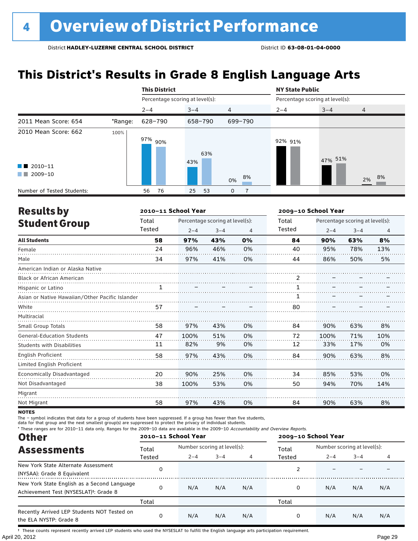## **This District's Results in Grade 8 English Language Arts**

|                                                                            |         | <b>This District</b>            |            |                |         | <b>NY State Public</b>          |                |  |  |  |
|----------------------------------------------------------------------------|---------|---------------------------------|------------|----------------|---------|---------------------------------|----------------|--|--|--|
|                                                                            |         | Percentage scoring at level(s): |            |                |         | Percentage scoring at level(s): |                |  |  |  |
|                                                                            |         | $2 - 4$                         | $3 - 4$    | $\overline{4}$ | $2 - 4$ | $3 - 4$                         | $\overline{4}$ |  |  |  |
| 2011 Mean Score: 654                                                       | *Range: | 628-790                         | 658-790    | 699-790        |         |                                 |                |  |  |  |
| 2010 Mean Score: 662<br>$\blacksquare$ 2010-11<br>2009-10<br><b>The Co</b> | 100%    | 97% <sub>90%</sub>              | 63%<br>43% | 8%<br>0%       | 92% 91% | 47% 51%                         | 8%<br>2%       |  |  |  |
| Number of Tested Students:                                                 |         | 76<br>56                        | 53<br>25   | 0              |         |                                 |                |  |  |  |

| <b>Results by</b>                               |              | 2010-11 School Year |                                 |    | 2009-10 School Year |                                 |         |                |  |
|-------------------------------------------------|--------------|---------------------|---------------------------------|----|---------------------|---------------------------------|---------|----------------|--|
| <b>Student Group</b>                            | Total        |                     | Percentage scoring at level(s): |    | Total               | Percentage scoring at level(s): |         |                |  |
|                                                 | Tested       | $2 - 4$             | $3 - 4$                         | 4  | <b>Tested</b>       | $2 - 4$                         | $3 - 4$ | $\overline{4}$ |  |
| <b>All Students</b>                             | 58           | 97%                 | 43%                             | 0% | 84                  | 90%                             | 63%     | 8%             |  |
| Female                                          | 24           | 96%                 | 46%                             | 0% | 40                  | 95%                             | 78%     | 13%            |  |
| Male                                            | 34           | 97%                 | 41%                             | 0% | 44                  | 86%                             | 50%     | 5%             |  |
| American Indian or Alaska Native                |              |                     |                                 |    |                     |                                 |         |                |  |
| <b>Black or African American</b>                |              |                     |                                 |    | 2                   |                                 |         |                |  |
| Hispanic or Latino                              | $\mathbf{1}$ |                     |                                 |    |                     |                                 |         |                |  |
| Asian or Native Hawaiian/Other Pacific Islander |              |                     |                                 |    |                     |                                 |         |                |  |
| White                                           | 57           |                     |                                 |    | 80                  |                                 |         |                |  |
| Multiracial                                     |              |                     |                                 |    |                     |                                 |         |                |  |
| <b>Small Group Totals</b>                       | 58           | 97%                 | 43%                             | 0% | 84                  | 90%                             | 63%     | 8%             |  |
| <b>General-Education Students</b>               | 47           | 100%                | 51%                             | 0% | 72                  | 100%                            | 71%     | 10%            |  |
| <b>Students with Disabilities</b>               | 11           | 82%                 | 9%                              | 0% | 12                  | 33%                             | 17%     | 0%             |  |
| English Proficient                              | 58           | 97%                 | 43%                             | 0% | 84                  | 90%                             | 63%     | 8%             |  |
| Limited English Proficient                      |              |                     |                                 |    |                     |                                 |         |                |  |
| Economically Disadvantaged                      | 20           | 90%                 | 25%                             | 0% | 34                  | 85%                             | 53%     | 0%             |  |
| Not Disadvantaged                               | 38           | 100%                | 53%                             | 0% | 50                  | 94%                             | 70%     | 14%            |  |
| Migrant                                         |              |                     |                                 |    |                     |                                 |         |                |  |
| Not Migrant                                     | 58           | 97%                 | 43%                             | 0% | 84                  | 90%                             | 63%     | 8%             |  |

**NOTES** 

The – symbol indicates that data for a group of students have been suppressed. If a group has fewer than five students,

data for that group and the next smallest group(s) are suppressed to protect the privacy of individual students.

\* These ranges are for 2010–11 data only. Ranges for the 2009–10 data are available in the 2009–10 Accountability and Overview Reports.

| <b>Other</b>                                                          |          | 2010-11 School Year         |         |     | 2009-10 School Year |                             |         |     |
|-----------------------------------------------------------------------|----------|-----------------------------|---------|-----|---------------------|-----------------------------|---------|-----|
| <b>Assessments</b>                                                    | Total    | Number scoring at level(s): |         |     | Total               | Number scoring at level(s): |         |     |
|                                                                       | Tested   | $2 - 4$                     | $3 - 4$ |     | Tested              | $2 - 4$                     | $3 - 4$ |     |
| New York State Alternate Assessment                                   | 0        |                             |         |     |                     |                             |         |     |
| (NYSAA): Grade 8 Equivalent                                           |          |                             |         |     |                     |                             |         |     |
| New York State English as a Second Language                           |          |                             |         |     |                     |                             |         |     |
| Achievement Test (NYSESLAT) <sup>†</sup> : Grade 8                    | $\Omega$ | N/A                         | N/A     | N/A | 0                   | N/A                         | N/A     | N/A |
|                                                                       | Total    |                             |         |     | Total               |                             |         |     |
| Recently Arrived LEP Students NOT Tested on<br>the ELA NYSTP: Grade 8 | 0        | N/A                         | N/A     | N/A | 0                   | N/A                         | N/A     | N/A |

April 20, 2012 Page 29 † These counts represent recently arrived LEP students who used the NYSESLAT to fulfill the English language arts participation requirement.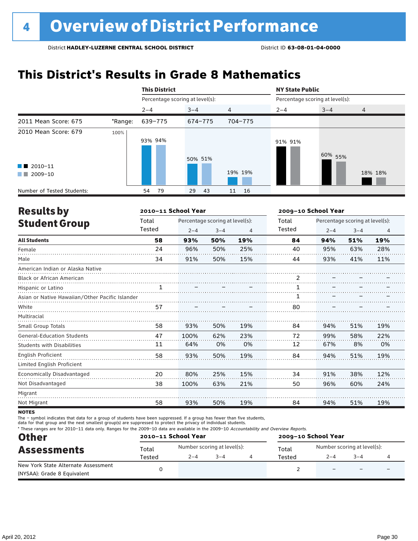## **This District's Results in Grade 8 Mathematics**

|                                                |         | <b>This District</b>            |          |          |                                 | <b>NY State Public</b> |                |  |  |  |
|------------------------------------------------|---------|---------------------------------|----------|----------|---------------------------------|------------------------|----------------|--|--|--|
|                                                |         | Percentage scoring at level(s): |          |          | Percentage scoring at level(s): |                        |                |  |  |  |
|                                                |         | $2 - 4$                         | $3 - 4$  | 4        | $2 - 4$                         | $3 - 4$                | $\overline{4}$ |  |  |  |
| 2011 Mean Score: 675                           | *Range: | 639-775                         | 674-775  | 704-775  |                                 |                        |                |  |  |  |
| 2010 Mean Score: 679<br>$\blacksquare$ 2010-11 | 100%    | 93% 94%                         | 50% 51%  |          | 91% 91%                         | 60% 55%                |                |  |  |  |
| 2009-10<br><b>The Co</b>                       |         |                                 |          | 19% 19%  |                                 |                        | 18% 18%        |  |  |  |
| Number of Tested Students:                     |         | 79<br>54                        | 43<br>29 | 16<br>11 |                                 |                        |                |  |  |  |

| <b>Results by</b>                               |              | 2010-11 School Year |                                 |     | 2009-10 School Year |                                 |         |     |  |
|-------------------------------------------------|--------------|---------------------|---------------------------------|-----|---------------------|---------------------------------|---------|-----|--|
| <b>Student Group</b>                            | Total        |                     | Percentage scoring at level(s): |     | Total               | Percentage scoring at level(s): |         |     |  |
|                                                 | Tested       | $2 - 4$             | $3 - 4$                         | 4   | Tested              | $2 - 4$                         | $3 - 4$ | 4   |  |
| <b>All Students</b>                             | 58           | 93%                 | 50%                             | 19% | 84                  | 94%                             | 51%     | 19% |  |
| Female                                          | 24           | 96%                 | 50%                             | 25% | 40                  | 95%                             | 63%     | 28% |  |
| Male                                            | 34           | 91%                 | 50%                             | 15% | 44                  | 93%                             | 41%     | 11% |  |
| American Indian or Alaska Native                |              |                     |                                 |     |                     |                                 |         |     |  |
| <b>Black or African American</b>                |              |                     |                                 |     | 2                   |                                 |         |     |  |
| Hispanic or Latino                              | $\mathbf{1}$ |                     |                                 |     | 1                   |                                 |         |     |  |
| Asian or Native Hawaiian/Other Pacific Islander |              |                     |                                 |     |                     |                                 |         |     |  |
| White                                           | 57           |                     |                                 |     | 80                  |                                 |         |     |  |
| Multiracial                                     |              |                     |                                 |     |                     |                                 |         |     |  |
| Small Group Totals                              | 58           | 93%                 | 50%                             | 19% | 84                  | 94%                             | 51%     | 19% |  |
| <b>General-Education Students</b>               | 47           | 100%                | 62%                             | 23% | 72                  | 99%                             | 58%     | 22% |  |
| <b>Students with Disabilities</b>               | 11           | 64%                 | 0%                              | 0%  | 12                  | 67%                             | 8%      | 0%  |  |
| English Proficient                              | 58           | 93%                 | 50%                             | 19% | 84                  | 94%                             | 51%     | 19% |  |
| Limited English Proficient                      |              |                     |                                 |     |                     |                                 |         |     |  |
| Economically Disadvantaged                      | 20           | 80%                 | 25%                             | 15% | 34                  | 91%                             | 38%     | 12% |  |
| Not Disadvantaged                               | 38           | 100%                | 63%                             | 21% | 50                  | 96%                             | 60%     | 24% |  |
| Migrant                                         |              |                     |                                 |     |                     |                                 |         |     |  |
| Not Migrant                                     | 58           | 93%                 | 50%                             | 19% | 84                  | 94%                             | 51%     | 19% |  |

**NOTES** 

The – symbol indicates that data for a group of students have been suppressed. If a group has fewer than five students,

data for that group and the next smallest group(s) are suppressed to protect the privacy of individual students.

\* These ranges are for 2010–11 data only. Ranges for the 2009–10 data are available in the 2009–10 Accountability and Overview Reports.

| <b>Other</b>                        |        | 2010-11 School Year         |         | 2009-10 School Year |                             |         |   |  |
|-------------------------------------|--------|-----------------------------|---------|---------------------|-----------------------------|---------|---|--|
| <b>Assessments</b>                  | Total  | Number scoring at level(s): |         | Total               | Number scoring at level(s): |         |   |  |
|                                     | Tested | $2 - 4$                     | $3 - 4$ | Tested              | $2 - 4$                     | $3 - 4$ |   |  |
| New York State Alternate Assessment |        |                             |         |                     |                             |         | - |  |
| (NYSAA): Grade 8 Equivalent         |        |                             |         |                     |                             |         |   |  |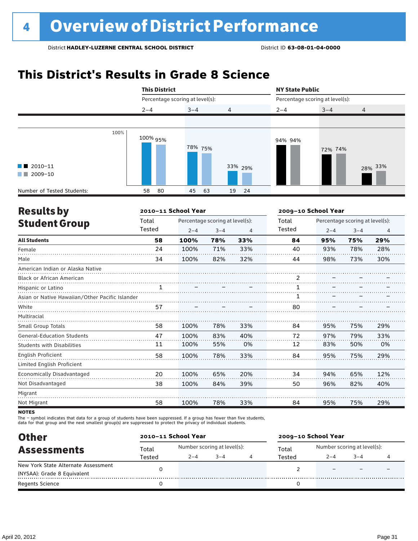## **This District's Results in Grade 8 Science**



| <b>Results by</b>                               |        | 2010-11 School Year |                                 |     | 2009-10 School Year |                                 |         |                |  |
|-------------------------------------------------|--------|---------------------|---------------------------------|-----|---------------------|---------------------------------|---------|----------------|--|
| <b>Student Group</b>                            | Total  |                     | Percentage scoring at level(s): |     | Total               | Percentage scoring at level(s): |         |                |  |
|                                                 | Tested | $2 - 4$             | $3 - 4$                         | 4   | Tested              | $2 - 4$                         | $3 - 4$ | $\overline{4}$ |  |
| <b>All Students</b>                             | 58     | 100%                | 78%                             | 33% | 84                  | 95%                             | 75%     | 29%            |  |
| Female                                          | 24     | 100%                | 71%                             | 33% | 40                  | 93%                             | 78%     | 28%            |  |
| Male                                            | 34     | 100%                | 82%                             | 32% | 44                  | 98%                             | 73%     | 30%            |  |
| American Indian or Alaska Native                |        |                     |                                 |     |                     |                                 |         |                |  |
| Black or African American                       |        |                     |                                 |     | 2                   |                                 |         |                |  |
| Hispanic or Latino                              | 1      |                     |                                 |     |                     |                                 |         |                |  |
| Asian or Native Hawaiian/Other Pacific Islander |        |                     |                                 |     |                     |                                 |         |                |  |
| White                                           | 57     |                     |                                 |     | 80                  |                                 |         |                |  |
| Multiracial                                     |        |                     |                                 |     |                     |                                 |         |                |  |
| <b>Small Group Totals</b>                       | 58     | 100%                | 78%                             | 33% | 84                  | 95%                             | 75%     | 29%            |  |
| <b>General-Education Students</b>               | 47     | 100%                | 83%                             | 40% | 72                  | 97%                             | 79%     | 33%            |  |
| <b>Students with Disabilities</b>               | 11     | 100%                | 55%                             | 0%  | 12                  | 83%                             | 50%     | 0%             |  |
| <b>English Proficient</b>                       | 58     | 100%                | 78%                             | 33% | 84                  | 95%                             | 75%     | 29%            |  |
| Limited English Proficient                      |        |                     |                                 |     |                     |                                 |         |                |  |
| Economically Disadvantaged                      | 20     | 100%                | 65%                             | 20% | 34                  | 94%                             | 65%     | 12%            |  |
| Not Disadvantaged                               | 38     | 100%                | 84%                             | 39% | 50                  | 96%                             | 82%     | 40%            |  |
| Migrant                                         |        |                     |                                 |     |                     |                                 |         |                |  |
| Not Migrant                                     | 58     | 100%                | 78%                             | 33% | 84                  | 95%                             | 75%     | 29%            |  |
|                                                 |        |                     |                                 |     |                     |                                 |         |                |  |

**NOTES** 

The – symbol indicates that data for a group of students have been suppressed. If a group has fewer than five students,

data for that group and the next smallest group(s) are suppressed to protect the privacy of individual students.

| <b>Other</b>                        |        | 2010-11 School Year         |         |  | 2009-10 School Year |                             |        |  |  |
|-------------------------------------|--------|-----------------------------|---------|--|---------------------|-----------------------------|--------|--|--|
| <b>Assessments</b>                  | Total  | Number scoring at level(s): |         |  | Total               | Number scoring at level(s): |        |  |  |
|                                     | Tested | $2 - 4$                     | $3 - 4$ |  | Tested              | $2 - 4$                     | $-3-4$ |  |  |
| New York State Alternate Assessment |        |                             |         |  |                     |                             |        |  |  |
| (NYSAA): Grade 8 Equivalent         |        |                             |         |  |                     |                             |        |  |  |
| <b>Regents Science</b>              |        |                             |         |  |                     |                             |        |  |  |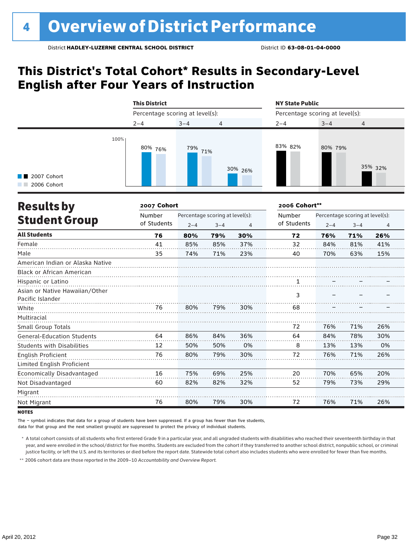## **This District's Total Cohort\* Results in Secondary-Level English after Four Years of Instruction**



| <b>Results by</b>                 | 2007 Cohort |                                 | 2006 Cohort** |     |             |                                 |         |                |  |
|-----------------------------------|-------------|---------------------------------|---------------|-----|-------------|---------------------------------|---------|----------------|--|
|                                   | Number      | Percentage scoring at level(s): |               |     | Number      | Percentage scoring at level(s): |         |                |  |
| <b>Student Group</b>              | of Students | $2 - 4$                         | $3 - 4$       | 4   | of Students | $2 - 4$                         | $3 - 4$ | $\overline{4}$ |  |
| <b>All Students</b>               | 76          | 80%                             | 79%           | 30% | 72          | 76%                             | 71%     | 26%            |  |
| Female                            | 41          | 85%                             | 85%           | 37% | 32          | 84%                             | 81%     | 41%            |  |
| Male                              | 35          | 74%                             | 71%           | 23% | 40          | 70%                             | 63%     | 15%            |  |
| American Indian or Alaska Native  |             |                                 |               |     |             |                                 |         |                |  |
| <b>Black or African American</b>  |             |                                 |               |     |             |                                 |         |                |  |
| Hispanic or Latino                |             |                                 |               |     |             |                                 |         |                |  |
| Asian or Native Hawaiian/Other    |             |                                 |               |     |             |                                 |         |                |  |
| Pacific Islander                  |             |                                 |               |     | 3           |                                 |         |                |  |
| White                             | 76          | 80%                             | 79%           | 30% | 68          |                                 |         |                |  |
| Multiracial                       |             |                                 |               |     |             |                                 |         |                |  |
| Small Group Totals                |             |                                 |               |     | 72          | 76%                             | 71%     | 26%            |  |
| <b>General-Education Students</b> | 64          | 86%                             | 84%           | 36% | 64          | 84%                             | 78%     | 30%            |  |
| <b>Students with Disabilities</b> | 12          | 50%                             | 50%           | 0%  | 8           | 13%                             | 13%     | 0%             |  |
| English Proficient                | 76          | 80%                             | 79%           | 30% | 72          | 76%                             | 71%     | 26%            |  |
| Limited English Proficient        |             |                                 |               |     |             |                                 |         |                |  |
| Economically Disadvantaged        | 16          | 75%                             | 69%           | 25% | 20          | 70%                             | 65%     | 20%            |  |
| Not Disadvantaged                 | 60          | 82%                             | 82%           | 32% | 52          | 79%                             | 73%     | 29%            |  |
| Migrant                           |             |                                 |               |     |             |                                 |         |                |  |
| Not Migrant                       | 76          | 80%                             | 79%           | 30% | 72          | 76%                             | 71%     | 26%            |  |

**NOTES** 

The – symbol indicates that data for a group of students have been suppressed. If a group has fewer than five students,

data for that group and the next smallest group(s) are suppressed to protect the privacy of individual students.

\* A total cohort consists of all students who first entered Grade 9 in a particular year, and all ungraded students with disabilities who reached their seventeenth birthday in that year, and were enrolled in the school/district for five months. Students are excluded from the cohort if they transferred to another school district, nonpublic school, or criminal justice facility, or left the U.S. and its territories or died before the report date. Statewide total cohort also includes students who were enrolled for fewer than five months.

\*\* 2006 cohort data are those reported in the 2009–10 *Accountability and Overview Report*.